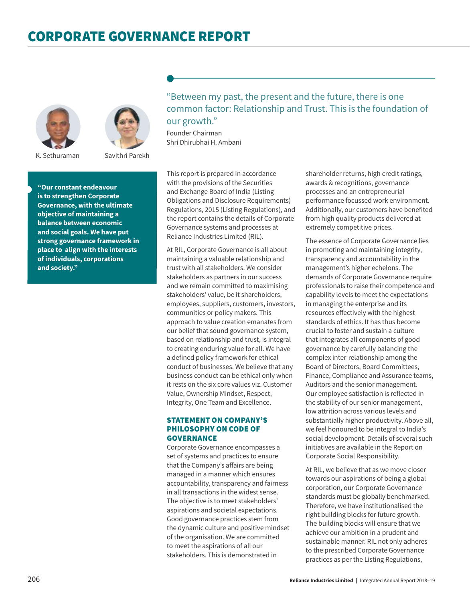



K. Sethuraman

Savithri Parekh

**"Our constant endeavour is to strengthen Corporate Governance, with the ultimate objective of maintaining a balance between economic and social goals. We have put strong governance framework in place to align with the interests of individuals, corporations and society."**

"Between my past, the present and the future, there is one common factor: Relationship and Trust. This is the foundation of our growth."

Founder Chairman Shri Dhirubhai H. Ambani

This report is prepared in accordance with the provisions of the Securities and Exchange Board of India (Listing Obligations and Disclosure Requirements) Regulations, 2015 (Listing Regulations), and the report contains the details of Corporate Governance systems and processes at Reliance Industries Limited (RIL).

At RIL, Corporate Governance is all about maintaining a valuable relationship and trust with all stakeholders. We consider stakeholders as partners in our success and we remain committed to maximising stakeholders' value, be it shareholders, employees, suppliers, customers, investors, communities or policy makers. This approach to value creation emanates from our belief that sound governance system, based on relationship and trust, is integral to creating enduring value for all. We have a defined policy framework for ethical conduct of businesses. We believe that any business conduct can be ethical only when it rests on the six core values viz. Customer Value, Ownership Mindset, Respect, Integrity, One Team and Excellence.

## STATEMENT ON COMPANY'S PHILOSOPHY ON CODE OF **GOVERNANCE**

Corporate Governance encompasses a set of systems and practices to ensure that the Company's affairs are being managed in a manner which ensures accountability, transparency and fairness in all transactions in the widest sense. The objective is to meet stakeholders' aspirations and societal expectations. Good governance practices stem from the dynamic culture and positive mindset of the organisation. We are committed to meet the aspirations of all our stakeholders. This is demonstrated in

shareholder returns, high credit ratings, awards & recognitions, governance processes and an entrepreneurial performance focussed work environment. Additionally, our customers have benefited from high quality products delivered at extremely competitive prices.

The essence of Corporate Governance lies in promoting and maintaining integrity, transparency and accountability in the management's higher echelons. The demands of Corporate Governance require professionals to raise their competence and capability levels to meet the expectations in managing the enterprise and its resources effectively with the highest standards of ethics. It has thus become crucial to foster and sustain a culture that integrates all components of good governance by carefully balancing the complex inter-relationship among the Board of Directors, Board Committees, Finance, Compliance and Assurance teams, Auditors and the senior management. Our employee satisfaction is reflected in the stability of our senior management, low attrition across various levels and substantially higher productivity. Above all, we feel honoured to be integral to India's social development. Details of several such initiatives are available in the Report on Corporate Social Responsibility.

At RIL, we believe that as we move closer towards our aspirations of being a global corporation, our Corporate Governance standards must be globally benchmarked. Therefore, we have institutionalised the right building blocks for future growth. The building blocks will ensure that we achieve our ambition in a prudent and sustainable manner. RIL not only adheres to the prescribed Corporate Governance practices as per the Listing Regulations,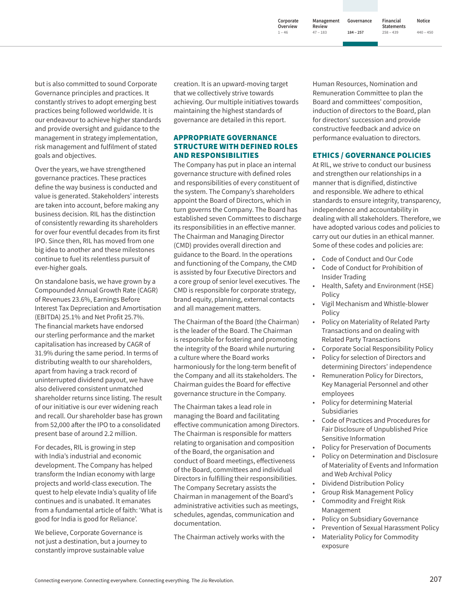**Corporate Overview Management Review 47 ‒ 183**

**1 ‒ 46**

**Governance 184 ‒ 257**

**Financial Statements Notice 440 ‒ 450**

**258 ‒ 439**

but is also committed to sound Corporate Governance principles and practices. It constantly strives to adopt emerging best practices being followed worldwide. It is our endeavour to achieve higher standards and provide oversight and guidance to the management in strategy implementation, risk management and fulfilment of stated goals and objectives.

Over the years, we have strengthened governance practices. These practices define the way business is conducted and value is generated. Stakeholders' interests are taken into account, before making any business decision. RIL has the distinction of consistently rewarding its shareholders for over four eventful decades from its first IPO. Since then, RIL has moved from one big idea to another and these milestones continue to fuel its relentless pursuit of ever-higher goals.

On standalone basis, we have grown by a Compounded Annual Growth Rate (CAGR) of Revenues 23.6%, Earnings Before Interest Tax Depreciation and Amortisation (EBITDA) 25.1% and Net Profit 25.7%. The financial markets have endorsed our sterling performance and the market capitalisation has increased by CAGR of 31.9% during the same period. In terms of distributing wealth to our shareholders, apart from having a track record of uninterrupted dividend payout, we have also delivered consistent unmatched shareholder returns since listing. The result of our initiative is our ever widening reach and recall. Our shareholder base has grown from 52,000 after the IPO to a consolidated present base of around 2.2 million.

For decades, RIL is growing in step with India's industrial and economic development. The Company has helped transform the Indian economy with large projects and world-class execution. The quest to help elevate India's quality of life continues and is unabated. It emanates from a fundamental article of faith: 'What is good for India is good for Reliance'.

We believe, Corporate Governance is not just a destination, but a journey to constantly improve sustainable value

creation. It is an upward-moving target that we collectively strive towards achieving. Our multiple initiatives towards maintaining the highest standards of governance are detailed in this report.

## APPROPRIATE GOVERNANCE STRUCTURE WITH DEFINED ROLES AND RESPONSIBILITIES

The Company has put in place an internal governance structure with defined roles and responsibilities of every constituent of the system. The Company's shareholders appoint the Board of Directors, which in turn governs the Company. The Board has established seven Committees to discharge its responsibilities in an effective manner. The Chairman and Managing Director (CMD) provides overall direction and guidance to the Board. In the operations and functioning of the Company, the CMD is assisted by four Executive Directors and a core group of senior level executives. The CMD is responsible for corporate strategy, brand equity, planning, external contacts and all management matters.

The Chairman of the Board (the Chairman) is the leader of the Board. The Chairman is responsible for fostering and promoting the integrity of the Board while nurturing a culture where the Board works harmoniously for the long-term benefit of the Company and all its stakeholders. The Chairman guides the Board for effective governance structure in the Company.

The Chairman takes a lead role in managing the Board and facilitating effective communication among Directors. The Chairman is responsible for matters relating to organisation and composition of the Board, the organisation and conduct of Board meetings, effectiveness of the Board, committees and individual Directors in fulfilling their responsibilities. The Company Secretary assists the Chairman in management of the Board's administrative activities such as meetings, schedules, agendas, communication and documentation.

The Chairman actively works with the

Human Resources, Nomination and Remuneration Committee to plan the Board and committees' composition, induction of directors to the Board, plan for directors' succession and provide constructive feedback and advice on performance evaluation to directors.

## ETHICS / GOVERNANCE POLICIES

At RIL, we strive to conduct our business and strengthen our relationships in a manner that is dignified, distinctive and responsible. We adhere to ethical standards to ensure integrity, transparency, independence and accountability in dealing with all stakeholders. Therefore, we have adopted various codes and policies to carry out our duties in an ethical manner. Some of these codes and policies are:

- Code of Conduct and Our Code
- Code of Conduct for Prohibition of Insider Trading
- Health, Safety and Environment (HSE) Policy
- Vigil Mechanism and Whistle-blower Policy
- Policy on Materiality of Related Party Transactions and on dealing with Related Party Transactions
- Corporate Social Responsibility Policy
- Policy for selection of Directors and determining Directors' independence
- Remuneration Policy for Directors, Key Managerial Personnel and other employees
- Policy for determining Material Subsidiaries
- Code of Practices and Procedures for Fair Disclosure of Unpublished Price Sensitive Information
- Policy for Preservation of Documents
- Policy on Determination and Disclosure of Materiality of Events and Information and Web Archival Policy
- Dividend Distribution Policy
- Group Risk Management Policy
- Commodity and Freight Risk Management
- Policy on Subsidiary Governance
- Prevention of Sexual Harassment Policy
- Materiality Policy for Commodity exposure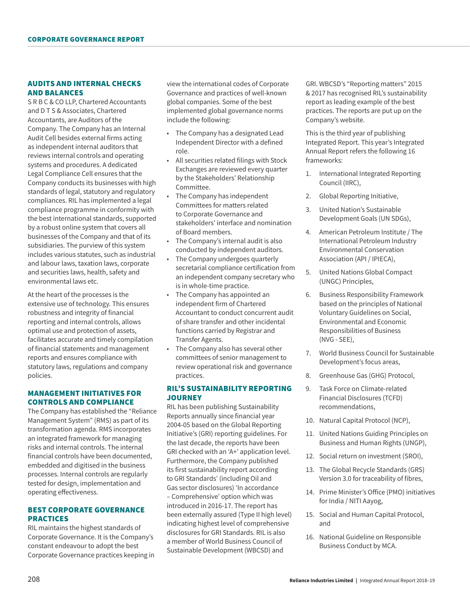# AUDITS AND INTERNAL CHECKS AND BALANCES

S R B C & CO LLP, Chartered Accountants and D T S & Associates, Chartered Accountants, are Auditors of the Company. The Company has an Internal Audit Cell besides external firms acting as independent internal auditors that reviews internal controls and operating systems and procedures. A dedicated Legal Compliance Cell ensures that the Company conducts its businesses with high standards of legal, statutory and regulatory compliances. RIL has implemented a legal compliance programme in conformity with the best international standards, supported by a robust online system that covers all businesses of the Company and that of its subsidiaries. The purview of this system includes various statutes, such as industrial and labour laws, taxation laws, corporate and securities laws, health, safety and environmental laws etc.

At the heart of the processes is the extensive use of technology. This ensures robustness and integrity of financial reporting and internal controls, allows optimal use and protection of assets, facilitates accurate and timely compilation of financial statements and management reports and ensures compliance with statutory laws, regulations and company policies.

## MANAGEMENT INITIATIVES FOR CONTROLS AND COMPLIANCE

The Company has established the "Reliance Management System" (RMS) as part of its transformation agenda. RMS incorporates an integrated framework for managing risks and internal controls. The internal financial controls have been documented, embedded and digitised in the business processes. Internal controls are regularly tested for design, implementation and operating effectiveness.

## BEST CORPORATE GOVERNANCE PRACTICES

RIL maintains the highest standards of Corporate Governance. It is the Company's constant endeavour to adopt the best Corporate Governance practices keeping in view the international codes of Corporate Governance and practices of well-known global companies. Some of the best implemented global governance norms include the following:

- The Company has a designated Lead Independent Director with a defined role.
- All securities related filings with Stock Exchanges are reviewed every quarter by the Stakeholders' Relationship Committee.
- The Company has independent Committees for matters related to Corporate Governance and stakeholders' interface and nomination of Board members.
- The Company's internal audit is also conducted by independent auditors.
- The Company undergoes quarterly secretarial compliance certification from an independent company secretary who is in whole-time practice.
- The Company has appointed an independent firm of Chartered Accountant to conduct concurrent audit of share transfer and other incidental functions carried by Registrar and Transfer Agents.
- The Company also has several other committees of senior management to review operational risk and governance practices.

## RIL'S SUSTAINABILITY REPORTING **JOURNEY**

RIL has been publishing Sustainability Reports annually since financial year 2004-05 based on the Global Reporting Initiative's (GRI) reporting guidelines. For the last decade, the reports have been GRI checked with an 'A+' application level. Furthermore, the Company published its first sustainability report according to GRI Standards' (including Oil and Gas sector disclosures) 'In accordance – Comprehensive' option which was introduced in 2016-17. The report has been externally assured (Type II high level) indicating highest level of comprehensive disclosures for GRI Standards. RIL is also a member of World Business Council of Sustainable Development (WBCSD) and

GRI. WBCSD's "Reporting matters" 2015 & 2017 has recognised RIL's sustainability report as leading example of the best practices. The reports are put up on the Company's website.

This is the third year of publishing Integrated Report. This year's Integrated Annual Report refers the following 16 frameworks:

- 1. International Integrated Reporting Council (IIRC),
- 2. Global Reporting Initiative,
- 3. United Nation's Sustainable Development Goals (UN SDGs),
- 4. American Petroleum Institute / The International Petroleum Industry Environmental Conservation Association (API / IPIECA),
- 5. United Nations Global Compact (UNGC) Principles,
- 6. Business Responsibility Framework based on the principles of National Voluntary Guidelines on Social, Environmental and Economic Responsibilities of Business (NVG - SEE),
- 7. World Business Council for Sustainable Development's focus areas,
- 8. Greenhouse Gas (GHG) Protocol,
- 9. Task Force on Climate-related Financial Disclosures (TCFD) recommendations,
- 10. Natural Capital Protocol (NCP),
- 11. United Nations Guiding Principles on Business and Human Rights (UNGP),
- 12. Social return on investment (SROI),
- 13. The Global Recycle Standards (GRS) Version 3.0 for traceability of fibres,
- 14. Prime Minister's Office (PMO) initiatives for India / NITI Aayog,
- 15. Social and Human Capital Protocol, and
- 16. National Guideline on Responsible Business Conduct by MCA.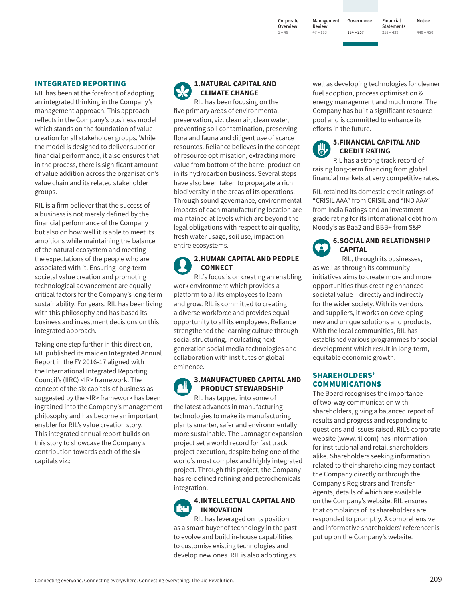**Corporate Overview Management Review 47 ‒ 183**

**1 ‒ 46**

**Governance 184 ‒ 257**

**Statements Notice 440 ‒ 450**

**Financial** 

**258 ‒ 439**

## INTEGRATED REPORTING

RIL has been at the forefront of adopting an integrated thinking in the Company's management approach. This approach reflects in the Company's business model which stands on the foundation of value creation for all stakeholder groups. While the model is designed to deliver superior financial performance, it also ensures that in the process, there is significant amount of value addition across the organisation's value chain and its related stakeholder groups.

RIL is a firm believer that the success of a business is not merely defined by the financial performance of the Company but also on how well it is able to meet its ambitions while maintaining the balance of the natural ecosystem and meeting the expectations of the people who are associated with it. Ensuring long-term societal value creation and promoting technological advancement are equally critical factors for the Company's long-term sustainability. For years, RIL has been living with this philosophy and has based its business and investment decisions on this integrated approach.

Taking one step further in this direction, RIL published its maiden Integrated Annual Report in the FY 2016-17 aligned with the International Integrated Reporting Council's (IIRC) <IR> framework. The concept of the six capitals of business as suggested by the <IR> framework has been ingrained into the Company's management philosophy and has become an important enabler for RIL's value creation story. This integrated annual report builds on this story to showcase the Company's contribution towards each of the six capitals viz.:

# **1.NATURAL CAPITAL AND CLIMATE CHANGE**

RIL has been focusing on the five primary areas of environmental preservation, viz. clean air, clean water, preventing soil contamination, preserving flora and fauna and diligent use of scarce resources. Reliance believes in the concept of resource optimisation, extracting more value from bottom of the barrel production in its hydrocarbon business. Several steps have also been taken to propagate a rich biodiversity in the areas of its operations. Through sound governance, environmental impacts of each manufacturing location are maintained at levels which are beyond the legal obligations with respect to air quality, fresh water usage, soil use, impact on entire ecosystems.

# **2. HUMAN CAPITAL AND PEOPLE CONNECT**

RIL's focus is on creating an enabling work environment which provides a platform to all its employees to learn and grow. RIL is committed to creating a diverse workforce and provides equal opportunity to all its employees. Reliance strengthened the learning culture through social structuring, inculcating next generation social media technologies and collaboration with institutes of global eminence.

# **3. MANUFACTURED CAPITAL AND PRODUCT STEWARDSHIP**

RIL has tapped into some of the latest advances in manufacturing technologies to make its manufacturing plants smarter, safer and environmentally more sustainable. The Jamnagar expansion project set a world record for fast track project execution, despite being one of the world's most complex and highly integrated project. Through this project, the Company has re-defined refining and petrochemicals integration.

## **4. INTELLECTUAL CAPITAL AND INNOVATION**

RIL has leveraged on its position as a smart buyer of technology in the past to evolve and build in-house capabilities to customise existing technologies and develop new ones. RIL is also adopting as

well as developing technologies for cleaner fuel adoption, process optimisation & energy management and much more. The Company has built a significant resource pool and is committed to enhance its efforts in the future.

#### **5. FINANCIAL CAPITAL AND CREDIT RATING**

RIL has a strong track record of raising long-term financing from global financial markets at very competitive rates.

RIL retained its domestic credit ratings of "CRISIL AAA" from CRISIL and "IND AAA" from India Ratings and an investment grade rating for its international debt from Moody's as Baa2 and BBB+ from S&P.

#### **6. SOCIAL AND RELATIONSHIP**  ě. **CAPITAL**

RIL, through its businesses, as well as through its community initiatives aims to create more and more opportunities thus creating enhanced societal value – directly and indirectly for the wider society. With its vendors and suppliers, it works on developing new and unique solutions and products. With the local communities, RIL has established various programmes for social development which result in long-term, equitable economic growth.

## SHAREHOLDERS' COMMUNICATIONS

The Board recognises the importance of two-way communication with shareholders, giving a balanced report of results and progress and responding to questions and issues raised. RIL's corporate website (www.ril.com) has information for institutional and retail shareholders alike. Shareholders seeking information related to their shareholding may contact the Company directly or through the Company's Registrars and Transfer Agents, details of which are available on the Company's website. RIL ensures that complaints of its shareholders are responded to promptly. A comprehensive and informative shareholders' referencer is put up on the Company's website.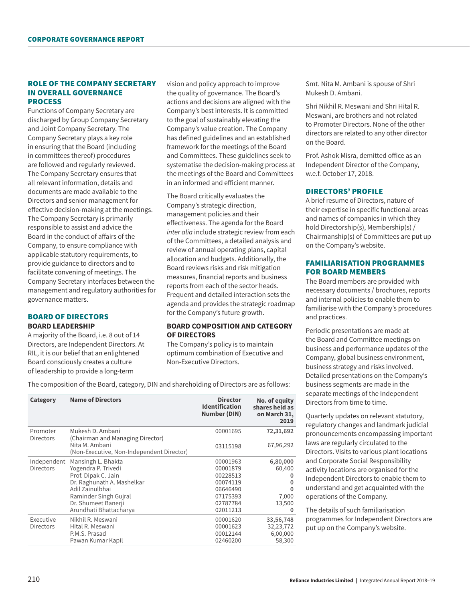## ROLE OF THE COMPANY SECRETARY IN OVERALL GOVERNANCE PROCESS

Functions of Company Secretary are discharged by Group Company Secretary and Joint Company Secretary. The Company Secretary plays a key role in ensuring that the Board (including in committees thereof) procedures are followed and regularly reviewed. The Company Secretary ensures that all relevant information, details and documents are made available to the Directors and senior management for effective decision-making at the meetings. The Company Secretary is primarily responsible to assist and advice the Board in the conduct of affairs of the Company, to ensure compliance with applicable statutory requirements, to provide guidance to directors and to facilitate convening of meetings. The Company Secretary interfaces between the management and regulatory authorities for governance matters.

## BOARD OF DIRECTORS **BOARD LEADERSHIP**

A majority of the Board, i.e. 8 out of 14 Directors, are Independent Directors. At RIL, it is our belief that an enlightened Board consciously creates a culture of leadership to provide a long-term

vision and policy approach to improve the quality of governance. The Board's actions and decisions are aligned with the Company's best interests. It is committed to the goal of sustainably elevating the Company's value creation. The Company has defined guidelines and an established framework for the meetings of the Board and Committees. These guidelines seek to systematise the decision-making process at the meetings of the Board and Committees in an informed and efficient manner.

The Board critically evaluates the Company's strategic direction, management policies and their effectiveness. The agenda for the Board *inter alia* include strategic review from each of the Committees, a detailed analysis and review of annual operating plans, capital allocation and budgets. Additionally, the Board reviews risks and risk mitigation measures, financial reports and business reports from each of the sector heads. Frequent and detailed interaction sets the agenda and provides the strategic roadmap for the Company's future growth.

#### **BOARD COMPOSITION AND CATEGORY OF DIRECTORS**

The Company's policy is to maintain optimum combination of Executive and Non-Executive Directors.

**Category Name of Directors Director Identification Number (DIN) No. of equity shares held as on March 31, 2019** Promoter Directors Mukesh D. Ambani (Chairman and Managing Director) Nita M. Ambani (Non-Executive, Non-Independent Director) 00001695 03115198 **72,31,692** 67,96,292 Independent **Directors** Mansingh L. Bhakta Yogendra P. Trivedi Prof. Dipak C. Jain Dr. Raghunath A. Mashelkar Adil Zainulbhai Raminder Singh Gujral Dr. Shumeet Banerji Arundhati Bhattacharya 00001963 00001879 00228513 00074119 06646490 07175393 02787784 02011213 **6,80,000** 60,400 **0 0 0** 7,000 13,500 **0** Executive Directors Nikhil R. Meswani Hital R. Meswani P.M.S. Prasad Pawan Kumar Kapil 00001620 00001623 00012144 02460200 **33,56,748** 32,23,772 6,00,000 58,300

The composition of the Board, category, DIN and shareholding of Directors are as follows:

Smt. Nita M. Ambani is spouse of Shri Mukesh D. Ambani.

Shri Nikhil R. Meswani and Shri Hital R. Meswani, are brothers and not related to Promoter Directors. None of the other directors are related to any other director on the Board.

Prof. Ashok Misra, demitted office as an Independent Director of the Company, w.e.f. October 17, 2018.

## DIRECTORS' PROFILE

A brief resume of Directors, nature of their expertise in specific functional areas and names of companies in which they hold Directorship(s), Membership(s) / Chairmanship(s) of Committees are put up on the Company's website.

## FAMILIARISATION PROGRAMMES FOR BOARD MEMBERS

The Board members are provided with necessary documents / brochures, reports and internal policies to enable them to familiarise with the Company's procedures and practices.

Periodic presentations are made at the Board and Committee meetings on business and performance updates of the Company, global business environment, business strategy and risks involved. Detailed presentations on the Company's business segments are made in the separate meetings of the Independent Directors from time to time.

Quarterly updates on relevant statutory, regulatory changes and landmark judicial pronouncements encompassing important laws are regularly circulated to the Directors. Visits to various plant locations and Corporate Social Responsibility activity locations are organised for the Independent Directors to enable them to understand and get acquainted with the operations of the Company.

The details of such familiarisation programmes for Independent Directors are put up on the Company's website.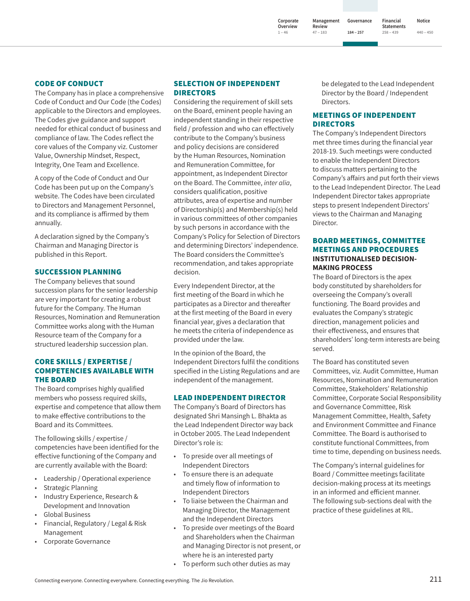**Corporate Overview 1 ‒ 46 Review 47 ‒ 183**

**Governance 184 ‒ 257 Management** 

**Financial Statements 258 ‒ 439 Notice**

**440 ‒ 450**

## CODE OF CONDUCT

The Company has in place a comprehensive Code of Conduct and Our Code (the Codes) applicable to the Directors and employees. The Codes give guidance and support needed for ethical conduct of business and compliance of law. The Codes reflect the core values of the Company viz. Customer Value, Ownership Mindset, Respect, Integrity, One Team and Excellence.

A copy of the Code of Conduct and Our Code has been put up on the Company's website. The Codes have been circulated to Directors and Management Personnel, and its compliance is affirmed by them annually.

A declaration signed by the Company's Chairman and Managing Director is published in this Report.

#### SUCCESSION PLANNING

The Company believes that sound succession plans for the senior leadership are very important for creating a robust future for the Company. The Human Resources, Nomination and Remuneration Committee works along with the Human Resource team of the Company for a structured leadership succession plan.

## CORE SKILLS / EXPERTISE / COMPETENCIES AVAILABLE WITH THE BOARD

The Board comprises highly qualified members who possess required skills, expertise and competence that allow them to make effective contributions to the Board and its Committees.

The following skills / expertise / competencies have been identified for the effective functioning of the Company and are currently available with the Board:

- Leadership / Operational experience
- **Strategic Planning**
- Industry Experience, Research & Development and Innovation
- Global Business
- Financial, Regulatory / Legal & Risk Management
- Corporate Governance

## SELECTION OF INDEPENDENT DIRECTORS

Considering the requirement of skill sets on the Board, eminent people having an independent standing in their respective field / profession and who can effectively contribute to the Company's business and policy decisions are considered by the Human Resources, Nomination and Remuneration Committee, for appointment, as Independent Director on the Board. The Committee, *inter alia*, considers qualification, positive attributes, area of expertise and number of Directorship(s) and Membership(s) held in various committees of other companies by such persons in accordance with the Company's Policy for Selection of Directors and determining Directors' independence. The Board considers the Committee's recommendation, and takes appropriate decision.

Every Independent Director, at the first meeting of the Board in which he participates as a Director and thereafter at the first meeting of the Board in every financial year, gives a declaration that he meets the criteria of independence as provided under the law.

In the opinion of the Board, the Independent Directors fulfil the conditions specified in the Listing Regulations and are independent of the management.

#### LEAD INDEPENDENT DIRECTOR

The Company's Board of Directors has designated Shri Mansingh L. Bhakta as the Lead Independent Director way back in October 2005. The Lead Independent Director's role is:

- To preside over all meetings of Independent Directors
- To ensure there is an adequate and timely flow of information to Independent Directors
- To liaise between the Chairman and Managing Director, the Management and the Independent Directors
- To preside over meetings of the Board and Shareholders when the Chairman and Managing Director is not present, or where he is an interested party
- To perform such other duties as may

be delegated to the Lead Independent Director by the Board / Independent Directors.

## MEETINGS OF INDEPENDENT DIRECTORS

The Company's Independent Directors met three times during the financial year 2018-19. Such meetings were conducted to enable the Independent Directors to discuss matters pertaining to the Company's affairs and put forth their views to the Lead Independent Director. The Lead Independent Director takes appropriate steps to present Independent Directors' views to the Chairman and Managing Director.

## BOARD MEETINGS, COMMITTEE MEETINGS AND PROCEDURES **INSTITUTIONALISED DECISION-MAKING PROCESS**

The Board of Directors is the apex body constituted by shareholders for overseeing the Company's overall functioning. The Board provides and evaluates the Company's strategic direction, management policies and their effectiveness, and ensures that shareholders' long-term interests are being served.

The Board has constituted seven Committees, viz. Audit Committee, Human Resources, Nomination and Remuneration Committee, Stakeholders' Relationship Committee, Corporate Social Responsibility and Governance Committee, Risk Management Committee, Health, Safety and Environment Committee and Finance Committee. The Board is authorised to constitute functional Committees, from time to time, depending on business needs.

The Company's internal guidelines for Board / Committee meetings facilitate decision-making process at its meetings in an informed and efficient manner. The following sub-sections deal with the practice of these guidelines at RIL.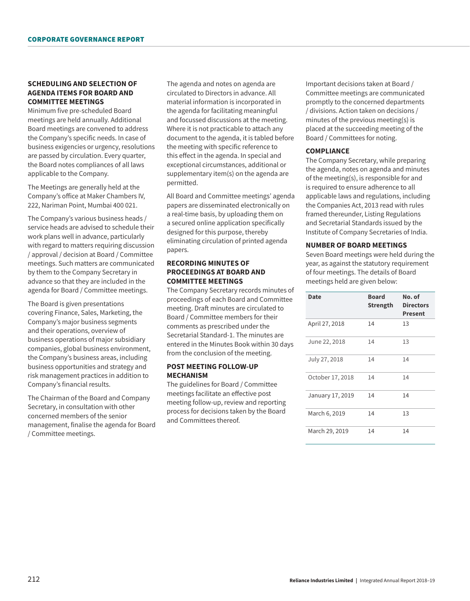## **SCHEDULING AND SELECTION OF AGENDA ITEMS FOR BOARD AND COMMITTEE MEETINGS**

Minimum five pre-scheduled Board meetings are held annually. Additional Board meetings are convened to address the Company's specific needs. In case of business exigencies or urgency, resolutions are passed by circulation. Every quarter, the Board notes compliances of all laws applicable to the Company.

The Meetings are generally held at the Company's office at Maker Chambers IV, 222, Nariman Point, Mumbai 400 021.

The Company's various business heads / service heads are advised to schedule their work plans well in advance, particularly with regard to matters requiring discussion / approval / decision at Board / Committee meetings. Such matters are communicated by them to the Company Secretary in advance so that they are included in the agenda for Board / Committee meetings.

The Board is given presentations covering Finance, Sales, Marketing, the Company's major business segments and their operations, overview of business operations of major subsidiary companies, global business environment, the Company's business areas, including business opportunities and strategy and risk management practices in addition to Company's financial results.

The Chairman of the Board and Company Secretary, in consultation with other concerned members of the senior management, finalise the agenda for Board / Committee meetings.

The agenda and notes on agenda are circulated to Directors in advance. All material information is incorporated in the agenda for facilitating meaningful and focussed discussions at the meeting. Where it is not practicable to attach any document to the agenda, it is tabled before the meeting with specific reference to this effect in the agenda. In special and exceptional circumstances, additional or supplementary item(s) on the agenda are permitted.

All Board and Committee meetings' agenda papers are disseminated electronically on a real-time basis, by uploading them on a secured online application specifically designed for this purpose, thereby eliminating circulation of printed agenda papers.

## **RECORDING MINUTES OF PROCEEDINGS AT BOARD AND COMMITTEE MEETINGS**

The Company Secretary records minutes of proceedings of each Board and Committee meeting. Draft minutes are circulated to Board / Committee members for their comments as prescribed under the Secretarial Standard-1. The minutes are entered in the Minutes Book within 30 days from the conclusion of the meeting.

#### **POST MEETING FOLLOW-UP MECHANISM**

The guidelines for Board / Committee meetings facilitate an effective post meeting follow-up, review and reporting process for decisions taken by the Board and Committees thereof.

Important decisions taken at Board / Committee meetings are communicated promptly to the concerned departments / divisions. Action taken on decisions / minutes of the previous meeting(s) is placed at the succeeding meeting of the Board / Committees for noting.

## **COMPLIANCE**

The Company Secretary, while preparing the agenda, notes on agenda and minutes of the meeting(s), is responsible for and is required to ensure adherence to all applicable laws and regulations, including the Companies Act, 2013 read with rules framed thereunder, Listing Regulations and Secretarial Standards issued by the Institute of Company Secretaries of India.

## **NUMBER OF BOARD MEETINGS**

Seven Board meetings were held during the year, as against the statutory requirement of four meetings. The details of Board meetings held are given below:

| <b>Date</b>      | <b>Board</b><br>Strength | No. of<br><b>Directors</b><br><b>Present</b> |
|------------------|--------------------------|----------------------------------------------|
| April 27, 2018   | 14                       | 13                                           |
| June 22, 2018    | 14                       | 13                                           |
| July 27, 2018    | 14                       | 14                                           |
| October 17, 2018 | 14                       | 14                                           |
| January 17, 2019 | 14                       | 14                                           |
| March 6, 2019    | 14                       | 13                                           |
| March 29, 2019   | 14                       | 14                                           |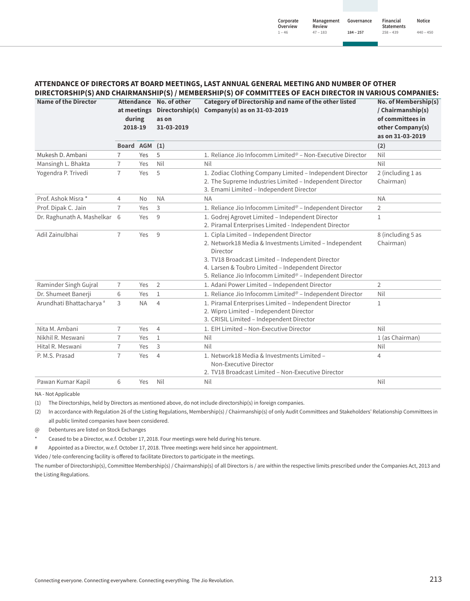#### **ATTENDANCE OF DIRECTORS AT BOARD MEETINGS, LAST ANNUAL GENERAL MEETING AND NUMBER OF OTHER DIRECTORSHIP(S) AND CHAIRMANSHIP(S) / MEMBERSHIP(S) OF COMMITTEES OF EACH DIRECTOR IN VARIOUS COMPANIES:**

| <b>Name of the Director</b>         | during<br>2018-19 |           |                |                                                                                                                                                                                                                                                                                                | Attendance No. of other<br>as on<br>31-03-2019 | Category of Directorship and name of the other listed<br>at meetings Directorship(s) Company(s) as on 31-03-2019 | No. of Membership(s)<br>/ Chairmanship(s)<br>of committees in<br>other Company(s)<br>as on 31-03-2019 |
|-------------------------------------|-------------------|-----------|----------------|------------------------------------------------------------------------------------------------------------------------------------------------------------------------------------------------------------------------------------------------------------------------------------------------|------------------------------------------------|------------------------------------------------------------------------------------------------------------------|-------------------------------------------------------------------------------------------------------|
|                                     | <b>Board AGM</b>  |           | (1)            |                                                                                                                                                                                                                                                                                                | (2)                                            |                                                                                                                  |                                                                                                       |
| Mukesh D. Ambani                    | 7                 | Yes       | 5              | 1. Reliance Jio Infocomm Limited <sup>@</sup> – Non-Executive Director                                                                                                                                                                                                                         | Nil                                            |                                                                                                                  |                                                                                                       |
| Mansingh L. Bhakta                  | 7                 | Yes       | Nil            | Nil                                                                                                                                                                                                                                                                                            | Nil                                            |                                                                                                                  |                                                                                                       |
| Yogendra P. Trivedi                 | $\overline{7}$    | Yes       | 5              | 1. Zodiac Clothing Company Limited - Independent Director<br>2. The Supreme Industries Limited - Independent Director<br>3. Emami Limited - Independent Director                                                                                                                               | 2 (including 1 as<br>Chairman)                 |                                                                                                                  |                                                                                                       |
| Prof. Ashok Misra *                 | $\overline{4}$    | No        | <b>NA</b>      | <b>NA</b>                                                                                                                                                                                                                                                                                      | <b>NA</b>                                      |                                                                                                                  |                                                                                                       |
| Prof. Dipak C. Jain                 | $\overline{7}$    | Yes       | 3              | 1. Reliance Jio Infocomm Limited <sup>@</sup> - Independent Director                                                                                                                                                                                                                           | 2                                              |                                                                                                                  |                                                                                                       |
| Dr. Raghunath A. Mashelkar          | 6                 | Yes       | 9              | 1. Godrej Agrovet Limited - Independent Director<br>2. Piramal Enterprises Limited - Independent Director                                                                                                                                                                                      | 1                                              |                                                                                                                  |                                                                                                       |
| Adil Zainulbhai                     | 7                 | Yes       | 9              | 1. Cipla Limited - Independent Director<br>2. Network18 Media & Investments Limited - Independent<br>Director<br>3. TV18 Broadcast Limited - Independent Director<br>4. Larsen & Toubro Limited - Independent Director<br>5. Reliance Jio Infocomm Limited <sup>®</sup> - Independent Director | 8 (including 5 as<br>Chairman)                 |                                                                                                                  |                                                                                                       |
| Raminder Singh Gujral               | 7                 | Yes       | 2              | 1. Adani Power Limited - Independent Director                                                                                                                                                                                                                                                  | $\overline{2}$                                 |                                                                                                                  |                                                                                                       |
| Dr. Shumeet Banerji                 | 6                 | Yes       | $\mathbf{1}$   | 1. Reliance Jio Infocomm Limited <sup>®</sup> - Independent Director                                                                                                                                                                                                                           | Nil                                            |                                                                                                                  |                                                                                                       |
| Arundhati Bhattacharya <sup>#</sup> | 3                 | <b>NA</b> | $\overline{4}$ | 1. Piramal Enterprises Limited - Independent Director<br>2. Wipro Limited - Independent Director<br>3. CRISIL Limited - Independent Director                                                                                                                                                   | 1                                              |                                                                                                                  |                                                                                                       |
| Nita M. Ambani                      | 7                 | Yes       | $\overline{4}$ | 1. EIH Limited - Non-Executive Director                                                                                                                                                                                                                                                        | Nil                                            |                                                                                                                  |                                                                                                       |
| Nikhil R. Meswani                   | $\overline{7}$    | Yes       | $\mathbf{1}$   | Nil                                                                                                                                                                                                                                                                                            | 1 (as Chairman)                                |                                                                                                                  |                                                                                                       |
| Hital R. Meswani                    | $\overline{7}$    | Yes       | 3              | Nil                                                                                                                                                                                                                                                                                            | Nil                                            |                                                                                                                  |                                                                                                       |
| P. M.S. Prasad                      | $\overline{7}$    | Yes       | $\overline{4}$ | 1. Network18 Media & Investments Limited -<br>Non-Executive Director<br>2. TV18 Broadcast Limited - Non-Executive Director                                                                                                                                                                     | 4                                              |                                                                                                                  |                                                                                                       |
| Pawan Kumar Kapil                   | 6                 | Yes       | Nil            | Nil                                                                                                                                                                                                                                                                                            | Nil                                            |                                                                                                                  |                                                                                                       |

NA - Not Applicable

(1) The Directorships, held by Directors as mentioned above, do not include directorship(s) in foreign companies.

(2) In accordance with Regulation 26 of the Listing Regulations, Membership(s) / Chairmanship(s) of only Audit Committees and Stakeholders' Relationship Committees in all public limited companies have been considered.

@ Debentures are listed on Stock Exchanges

Ceased to be a Director, w.e.f. October 17, 2018. Four meetings were held during his tenure.

# Appointed as a Director, w.e.f. October 17, 2018. Three meetings were held since her appointment.

Video / tele-conferencing facility is offered to facilitate Directors to participate in the meetings.

The number of Directorship(s), Committee Membership(s) / Chairmanship(s) of all Directors is / are within the respective limits prescribed under the Companies Act, 2013 and the Listing Regulations.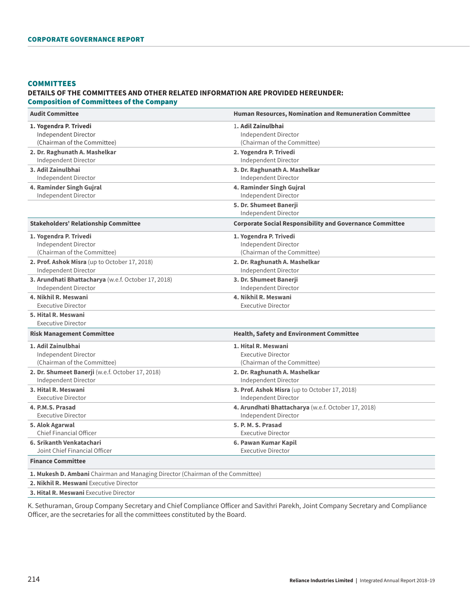#### **COMMITTEES**

## **DETAILS OF THE COMMITTEES AND OTHER RELATED INFORMATION ARE PROVIDED HEREUNDER:**  Composition of Committees of the Company

| <b>Audit Committee</b>                                                         | <b>Human Resources, Nomination and Remuneration Committee</b>   |
|--------------------------------------------------------------------------------|-----------------------------------------------------------------|
| 1. Yogendra P. Trivedi                                                         | 1. Adil Zainulbhai                                              |
| Independent Director                                                           | Independent Director                                            |
| (Chairman of the Committee)                                                    | (Chairman of the Committee)                                     |
| 2. Dr. Raghunath A. Mashelkar                                                  | 2. Yogendra P. Trivedi                                          |
| Independent Director                                                           | Independent Director                                            |
| 3. Adil Zainulbhai                                                             | 3. Dr. Raghunath A. Mashelkar                                   |
| Independent Director                                                           | Independent Director                                            |
| 4. Raminder Singh Gujral                                                       | 4. Raminder Singh Gujral                                        |
| Independent Director                                                           | Independent Director                                            |
|                                                                                | 5. Dr. Shumeet Banerii<br>Independent Director                  |
| <b>Stakeholders' Relationship Committee</b>                                    | <b>Corporate Social Responsibility and Governance Committee</b> |
| 1. Yogendra P. Trivedi                                                         | 1. Yogendra P. Trivedi                                          |
| Independent Director                                                           | Independent Director                                            |
| (Chairman of the Committee)                                                    | (Chairman of the Committee)                                     |
| 2. Prof. Ashok Misra (up to October 17, 2018)                                  | 2. Dr. Raghunath A. Mashelkar                                   |
| Independent Director                                                           | Independent Director                                            |
| 3. Arundhati Bhattacharya (w.e.f. October 17, 2018)                            | 3. Dr. Shumeet Banerji                                          |
| Independent Director                                                           | Independent Director                                            |
| 4. Nikhil R. Meswani                                                           | 4. Nikhil R. Meswani                                            |
| <b>Executive Director</b>                                                      | <b>Executive Director</b>                                       |
| 5. Hital R. Meswani<br><b>Executive Director</b>                               |                                                                 |
| <b>Risk Management Committee</b>                                               | <b>Health, Safety and Environment Committee</b>                 |
| 1. Adil Zainulbhai                                                             | 1. Hital R. Meswani                                             |
| Independent Director                                                           | <b>Executive Director</b>                                       |
| (Chairman of the Committee)                                                    | (Chairman of the Committee)                                     |
| 2. Dr. Shumeet Banerji (w.e.f. October 17, 2018)                               | 2. Dr. Raghunath A. Mashelkar                                   |
| Independent Director                                                           | Independent Director                                            |
| 3. Hital R. Meswani                                                            | 3. Prof. Ashok Misra (up to October 17, 2018)                   |
| <b>Executive Director</b>                                                      | Independent Director                                            |
| 4. P.M.S. Prasad                                                               | 4. Arundhati Bhattacharya (w.e.f. October 17, 2018)             |
| <b>Executive Director</b>                                                      | Independent Director                                            |
| 5. Alok Agarwal                                                                | 5. P. M. S. Prasad                                              |
| Chief Financial Officer                                                        | <b>Executive Director</b>                                       |
| 6. Srikanth Venkatachari                                                       | 6. Pawan Kumar Kapil                                            |
| Joint Chief Financial Officer                                                  | <b>Executive Director</b>                                       |
| <b>Finance Committee</b>                                                       |                                                                 |
| 1. Mukesh D. Ambani Chairman and Managing Director (Chairman of the Committee) |                                                                 |
| 2. Nikhil R. Meswani Executive Director                                        |                                                                 |

**3. Hital R. Meswani** Executive Director

K. Sethuraman, Group Company Secretary and Chief Compliance Officer and Savithri Parekh, Joint Company Secretary and Compliance Officer, are the secretaries for all the committees constituted by the Board.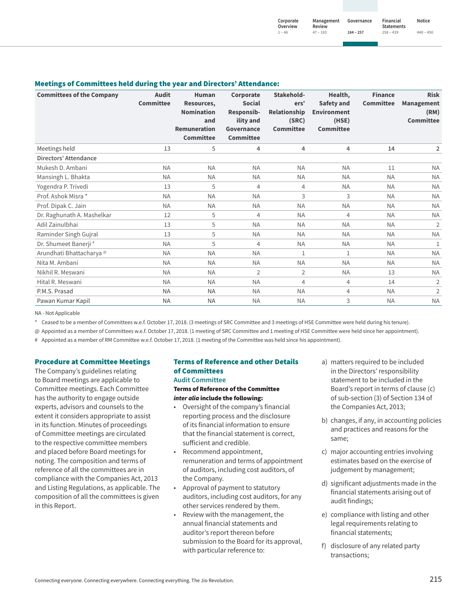#### Meetings of Committees held during the year and Directors' Attendance:

| <b>Committees of the Company</b>    | <b>Audit</b><br><b>Committee</b> | <b>Human</b><br>Resources,<br><b>Nomination</b><br>and<br><b>Remuneration</b><br><b>Committee</b> | Corporate<br><b>Social</b><br>Responsib-<br>ility and<br><b>Governance</b><br><b>Committee</b> | Stakehold-<br>ers'<br><b>Relationship</b><br>(SRC)<br><b>Committee</b> | Health,<br><b>Safety and</b><br><b>Environment</b><br>(HSE)<br><b>Committee</b> | <b>Finance</b><br><b>Committee</b> | <b>Risk</b><br><b>Management</b><br>(RM)<br><b>Committee</b> |
|-------------------------------------|----------------------------------|---------------------------------------------------------------------------------------------------|------------------------------------------------------------------------------------------------|------------------------------------------------------------------------|---------------------------------------------------------------------------------|------------------------------------|--------------------------------------------------------------|
| Meetings held                       | 13                               | 5                                                                                                 | 4                                                                                              | 4                                                                      | $\overline{4}$                                                                  | 14                                 | $\overline{2}$                                               |
| Directors' Attendance               |                                  |                                                                                                   |                                                                                                |                                                                        |                                                                                 |                                    |                                                              |
| Mukesh D. Ambani                    | <b>NA</b>                        | <b>NA</b>                                                                                         | <b>NA</b>                                                                                      | <b>NA</b>                                                              | <b>NA</b>                                                                       | 11                                 | <b>NA</b>                                                    |
| Mansingh L. Bhakta                  | <b>NA</b>                        | <b>NA</b>                                                                                         | <b>NA</b>                                                                                      | <b>NA</b>                                                              | <b>NA</b>                                                                       | <b>NA</b>                          | <b>NA</b>                                                    |
| Yogendra P. Trivedi                 | 13                               | 5                                                                                                 | 4                                                                                              | $\overline{4}$                                                         | <b>NA</b>                                                                       | <b>NA</b>                          | <b>NA</b>                                                    |
| Prof. Ashok Misra *                 | <b>NA</b>                        | <b>NA</b>                                                                                         | <b>NA</b>                                                                                      | 3                                                                      | 3                                                                               | <b>NA</b>                          | <b>NA</b>                                                    |
| Prof. Dipak C. Jain                 | <b>NA</b>                        | <b>NA</b>                                                                                         | <b>NA</b>                                                                                      | <b>NA</b>                                                              | <b>NA</b>                                                                       | <b>NA</b>                          | <b>NA</b>                                                    |
| Dr. Raghunath A. Mashelkar          | 12                               | 5                                                                                                 | 4                                                                                              | <b>NA</b>                                                              | 4                                                                               | <b>NA</b>                          | <b>NA</b>                                                    |
| Adil Zainulbhai                     | 13                               | 5                                                                                                 | <b>NA</b>                                                                                      | <b>NA</b>                                                              | <b>NA</b>                                                                       | <b>NA</b>                          | 2                                                            |
| Raminder Singh Gujral               | 13                               | 5                                                                                                 | <b>NA</b>                                                                                      | <b>NA</b>                                                              | <b>NA</b>                                                                       | <b>NA</b>                          | <b>NA</b>                                                    |
| Dr. Shumeet Banerji #               | <b>NA</b>                        | 5                                                                                                 | 4                                                                                              | <b>NA</b>                                                              | <b>NA</b>                                                                       | <b>NA</b>                          | 1                                                            |
| Arundhati Bhattacharya <sup>@</sup> | <b>NA</b>                        | <b>NA</b>                                                                                         | <b>NA</b>                                                                                      | $\mathbf{1}$                                                           | $\mathbf{1}$                                                                    | <b>NA</b>                          | <b>NA</b>                                                    |
| Nita M. Ambani                      | <b>NA</b>                        | <b>NA</b>                                                                                         | <b>NA</b>                                                                                      | <b>NA</b>                                                              | <b>NA</b>                                                                       | <b>NA</b>                          | <b>NA</b>                                                    |
| Nikhil R. Meswani                   | <b>NA</b>                        | <b>NA</b>                                                                                         | 2                                                                                              | 2                                                                      | <b>NA</b>                                                                       | 13                                 | <b>NA</b>                                                    |
| Hital R. Meswani                    | <b>NA</b>                        | <b>NA</b>                                                                                         | <b>NA</b>                                                                                      | 4                                                                      | $\overline{4}$                                                                  | 14                                 | $\overline{2}$                                               |
| P.M.S. Prasad                       | <b>NA</b>                        | <b>NA</b>                                                                                         | <b>NA</b>                                                                                      | <b>NA</b>                                                              | 4                                                                               | <b>NA</b>                          | $\overline{2}$                                               |
| Pawan Kumar Kapil                   | <b>NA</b>                        | <b>NA</b>                                                                                         | <b>NA</b>                                                                                      | <b>NA</b>                                                              | 3                                                                               | <b>NA</b>                          | <b>NA</b>                                                    |

NA - Not Applicable

\* Ceased to be a member of Committees w.e.f. October 17, 2018. (3 meetings of SRC Committee and 3 meetings of HSE Committee were held during his tenure).

@ Appointed as a member of Committees w.e.f. October 17, 2018. (1 meeting of SRC Committee and 1 meeting of HSE Committee were held since her appointment).

# Appointed as a member of RM Committee w.e.f. October 17, 2018. (1 meeting of the Committee was held since his appointment).

#### Procedure at Committee Meetings

The Company's guidelines relating to Board meetings are applicable to Committee meetings. Each Committee has the authority to engage outside experts, advisors and counsels to the extent it considers appropriate to assist in its function. Minutes of proceedings of Committee meetings are circulated to the respective committee members and placed before Board meetings for noting. The composition and terms of reference of all the committees are in compliance with the Companies Act, 2013 and Listing Regulations, as applicable. The composition of all the committees is given in this Report.

# Terms of Reference and other Details of Committees

# **Audit Committee**

Terms of Reference of the Committee *inter alia* include the following:

- Oversight of the company's financial reporting process and the disclosure of its financial information to ensure that the financial statement is correct, sufficient and credible.
- Recommend appointment, remuneration and terms of appointment of auditors, including cost auditors, of the Company.
- Approval of payment to statutory auditors, including cost auditors, for any other services rendered by them.
- Review with the management, the annual financial statements and auditor's report thereon before submission to the Board for its approval, with particular reference to:
- a) matters required to be included in the Directors' responsibility statement to be included in the Board's report in terms of clause (c) of sub-section (3) of Section 134 of the Companies Act, 2013;
- b) changes, if any, in accounting policies and practices and reasons for the same;
- c) major accounting entries involving estimates based on the exercise of judgement by management;
- d) significant adjustments made in the financial statements arising out of audit findings;
- e) compliance with listing and other legal requirements relating to financial statements;
- f) disclosure of any related party transactions;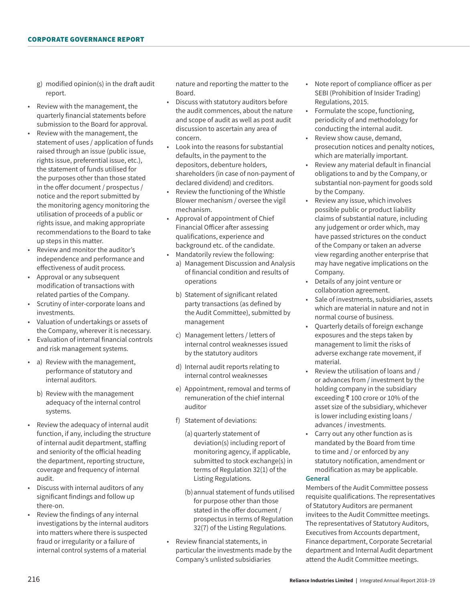- g) modified opinion(s) in the draft audit report.
- Review with the management, the quarterly financial statements before submission to the Board for approval.
- Review with the management, the statement of uses / application of funds raised through an issue (public issue, rights issue, preferential issue, etc.), the statement of funds utilised for the purposes other than those stated in the offer document / prospectus / notice and the report submitted by the monitoring agency monitoring the utilisation of proceeds of a public or rights issue, and making appropriate recommendations to the Board to take up steps in this matter.
- Review and monitor the auditor's independence and performance and effectiveness of audit process.
- Approval or any subsequent modification of transactions with related parties of the Company.
- Scrutiny of inter-corporate loans and investments.
- Valuation of undertakings or assets of the Company, wherever it is necessary.
- Evaluation of internal financial controls and risk management systems.
- a) Review with the management, performance of statutory and internal auditors.
	- b) Review with the management adequacy of the internal control systems.
- Review the adequacy of internal audit function, if any, including the structure of internal audit department, staffing and seniority of the official heading the department, reporting structure, coverage and frequency of internal audit.
- Discuss with internal auditors of any significant findings and follow up there-on.
- Review the findings of any internal investigations by the internal auditors into matters where there is suspected fraud or irregularity or a failure of internal control systems of a material

nature and reporting the matter to the Board.

- Discuss with statutory auditors before the audit commences, about the nature and scope of audit as well as post audit discussion to ascertain any area of concern.
- Look into the reasons for substantial defaults, in the payment to the depositors, debenture holders, shareholders (in case of non-payment of declared dividend) and creditors.
- Review the functioning of the Whistle Blower mechanism / oversee the vigil mechanism.
- Approval of appointment of Chief Financial Officer after assessing qualifications, experience and background etc. of the candidate. • Mandatorily review the following:
	- a) Management Discussion and Analysis of financial condition and results of operations
	- b) Statement of significant related party transactions (as defined by the Audit Committee), submitted by management
	- c) Management letters / letters of internal control weaknesses issued by the statutory auditors
	- d) Internal audit reports relating to internal control weaknesses
	- e) Appointment, removal and terms of remuneration of the chief internal auditor
	- f) Statement of deviations:
		- (a) quarterly statement of deviation(s) including report of monitoring agency, if applicable, submitted to stock exchange(s) in terms of Regulation 32(1) of the Listing Regulations.
		- (b)annual statement of funds utilised for purpose other than those stated in the offer document / prospectus in terms of Regulation 32(7) of the Listing Regulations.
- Review financial statements, in particular the investments made by the Company's unlisted subsidiaries
- Note report of compliance officer as per SEBI (Prohibition of Insider Trading) Regulations, 2015.
- Formulate the scope, functioning, periodicity of and methodology for conducting the internal audit.
- Review show cause, demand, prosecution notices and penalty notices, which are materially important.
- Review any material default in financial obligations to and by the Company, or substantial non-payment for goods sold by the Company.
- Review any issue, which involves possible public or product liability claims of substantial nature, including any judgement or order which, may have passed strictures on the conduct of the Company or taken an adverse view regarding another enterprise that may have negative implications on the Company.
- Details of any joint venture or collaboration agreement.
- Sale of investments, subsidiaries, assets which are material in nature and not in normal course of business.
- Quarterly details of foreign exchange exposures and the steps taken by management to limit the risks of adverse exchange rate movement, if material.
- Review the utilisation of loans and / or advances from / investment by the holding company in the subsidiary exceeding  $\bar{\tau}$  100 crore or 10% of the asset size of the subsidiary, whichever is lower including existing loans / advances / investments.
- Carry out any other function as is mandated by the Board from time to time and / or enforced by any statutory notification, amendment or modification as may be applicable.

## **General**

Members of the Audit Committee possess requisite qualifications. The representatives of Statutory Auditors are permanent invitees to the Audit Committee meetings. The representatives of Statutory Auditors, Executives from Accounts department, Finance department, Corporate Secretarial department and Internal Audit department attend the Audit Committee meetings.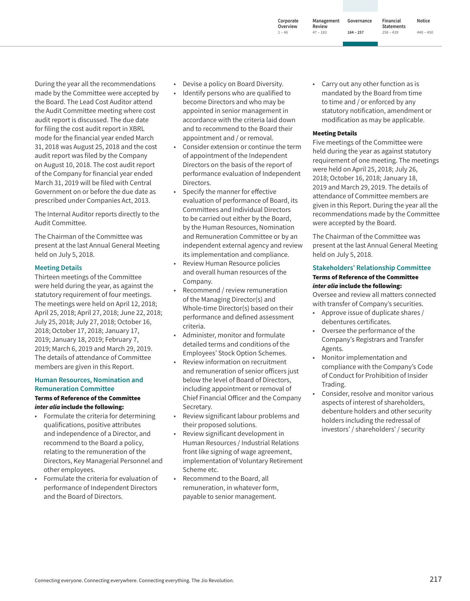Connecting everyone. Connecting everywhere. Connecting everything. The Jio Revolution.

made by the Committee were accepted by the Board. The Lead Cost Auditor attend the Audit Committee meeting where cost audit report is discussed. The due date for filing the cost audit report in XBRL mode for the financial year ended March 31, 2018 was August 25, 2018 and the cost audit report was filed by the Company on August 10, 2018. The cost audit report of the Company for financial year ended March 31, 2019 will be filed with Central Government on or before the due date as prescribed under Companies Act, 2013.

During the year all the recommendations

The Internal Auditor reports directly to the Audit Committee.

The Chairman of the Committee was present at the last Annual General Meeting held on July 5, 2018.

#### **Meeting Details**

Thirteen meetings of the Committee were held during the year, as against the statutory requirement of four meetings. The meetings were held on April 12, 2018; April 25, 2018; April 27, 2018; June 22, 2018; July 25, 2018; July 27, 2018; October 16, 2018; October 17, 2018; January 17, 2019; January 18, 2019; February 7, 2019; March 6, 2019 and March 29, 2019. The details of attendance of Committee members are given in this Report.

#### **Human Resources, Nomination and Remuneration Committee**

#### Terms of Reference of the Committee *inter alia* include the following:

- Formulate the criteria for determining qualifications, positive attributes and independence of a Director, and recommend to the Board a policy, relating to the remuneration of the Directors, Key Managerial Personnel and other employees.
- Formulate the criteria for evaluation of performance of Independent Directors and the Board of Directors.
- Devise a policy on Board Diversity.
- Identify persons who are qualified to become Directors and who may be appointed in senior management in accordance with the criteria laid down and to recommend to the Board their appointment and / or removal.
- Consider extension or continue the term of appointment of the Independent Directors on the basis of the report of performance evaluation of Independent Directors.
- Specify the manner for effective evaluation of performance of Board, its Committees and Individual Directors to be carried out either by the Board, by the Human Resources, Nomination and Remuneration Committee or by an independent external agency and review its implementation and compliance.
- Review Human Resource policies and overall human resources of the Company.
- Recommend / review remuneration of the Managing Director(s) and Whole-time Director(s) based on their performance and defined assessment criteria.
- Administer, monitor and formulate detailed terms and conditions of the Employees' Stock Option Schemes.
- Review information on recruitment and remuneration of senior officers just below the level of Board of Directors, including appointment or removal of Chief Financial Officer and the Company Secretary.
- Review significant labour problems and their proposed solutions.
- Review significant development in Human Resources / Industrial Relations front like signing of wage agreement, implementation of Voluntary Retirement Scheme etc.
- Recommend to the Board, all remuneration, in whatever form, payable to senior management.

Carry out any other function as is mandated by the Board from time to time and / or enforced by any statutory notification, amendment or modification as may be applicable.

**Governance 184 ‒ 257**

## Meeting Details

Five meetings of the Committee were held during the year as against statutory requirement of one meeting. The meetings were held on April 25, 2018; July 26, 2018; October 16, 2018; January 18, 2019 and March 29, 2019. The details of attendance of Committee members are given in this Report. During the year all the recommendations made by the Committee were accepted by the Board.

The Chairman of the Committee was present at the last Annual General Meeting held on July 5, 2018.

#### **Stakeholders' Relationship Committee** Terms of Reference of the Committee *inter alia* include the following:

Oversee and review all matters connected with transfer of Company's securities.

- Approve issue of duplicate shares / debentures certificates.
- Oversee the performance of the Company's Registrars and Transfer Agents.
- Monitor implementation and compliance with the Company's Code of Conduct for Prohibition of Insider Trading.
- Consider, resolve and monitor various aspects of interest of shareholders, debenture holders and other security holders including the redressal of investors' / shareholders' / security

**1 ‒ 46**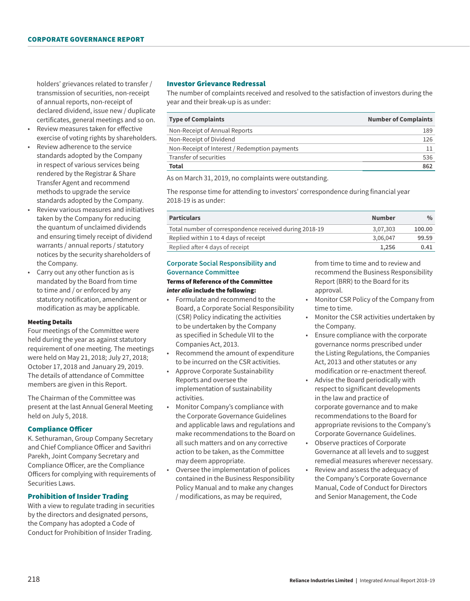holders' grievances related to transfer / transmission of securities, non-receipt of annual reports, non-receipt of declared dividend, issue new / duplicate certificates, general meetings and so on.

- Review measures taken for effective exercise of voting rights by shareholders.
- Review adherence to the service standards adopted by the Company in respect of various services being rendered by the Registrar & Share Transfer Agent and recommend methods to upgrade the service standards adopted by the Company.
- Review various measures and initiatives taken by the Company for reducing the quantum of unclaimed dividends and ensuring timely receipt of dividend warrants / annual reports / statutory notices by the security shareholders of the Company.
- Carry out any other function as is mandated by the Board from time to time and / or enforced by any statutory notification, amendment or modification as may be applicable.

#### Meeting Details

Four meetings of the Committee were held during the year as against statutory requirement of one meeting. The meetings were held on May 21, 2018; July 27, 2018; October 17, 2018 and January 29, 2019. The details of attendance of Committee members are given in this Report.

The Chairman of the Committee was present at the last Annual General Meeting held on July 5, 2018.

#### Compliance Officer

K. Sethuraman, Group Company Secretary and Chief Compliance Officer and Savithri Parekh, Joint Company Secretary and Compliance Officer, are the Compliance Officers for complying with requirements of Securities Laws.

#### Prohibition of Insider Trading

With a view to regulate trading in securities by the directors and designated persons, the Company has adopted a Code of Conduct for Prohibition of Insider Trading.

### Investor Grievance Redressal

The number of complaints received and resolved to the satisfaction of investors during the year and their break-up is as under:

| <b>Type of Complaints</b>                     | <b>Number of Complaints</b> |
|-----------------------------------------------|-----------------------------|
| Non-Receipt of Annual Reports                 | 189                         |
| Non-Receipt of Dividend                       | 126                         |
| Non-Receipt of Interest / Redemption payments |                             |
| Transfer of securities                        | 536                         |
| Total                                         | 862                         |

As on March 31, 2019, no complaints were outstanding.

The response time for attending to investors' correspondence during financial year 2018-19 is as under:

| <b>Particulars</b>                                     | Number   | $\%$   |
|--------------------------------------------------------|----------|--------|
| Total number of correspondence received during 2018-19 | 3.07.303 | 100.00 |
| Replied within 1 to 4 days of receipt                  | 3.06.047 | 99.59  |
| Replied after 4 days of receipt                        | 1.256    | 0.41   |

# **Corporate Social Responsibility and Governance Committee** Terms of Reference of the Committee

## *inter alia* include the following:

- Formulate and recommend to the Board, a Corporate Social Responsibility (CSR) Policy indicating the activities to be undertaken by the Company as specified in Schedule VII to the Companies Act, 2013.
- Recommend the amount of expenditure to be incurred on the CSR activities.
- Approve Corporate Sustainability Reports and oversee the implementation of sustainability activities.
- Monitor Company's compliance with the Corporate Governance Guidelines and applicable laws and regulations and make recommendations to the Board on all such matters and on any corrective action to be taken, as the Committee may deem appropriate.
- Oversee the implementation of polices contained in the Business Responsibility Policy Manual and to make any changes / modifications, as may be required,

from time to time and to review and recommend the Business Responsibility Report (BRR) to the Board for its approval.

- Monitor CSR Policy of the Company from time to time.
- Monitor the CSR activities undertaken by the Company.
- Ensure compliance with the corporate governance norms prescribed under the Listing Regulations, the Companies Act, 2013 and other statutes or any modification or re-enactment thereof.
- Advise the Board periodically with respect to significant developments in the law and practice of corporate governance and to make recommendations to the Board for appropriate revisions to the Company's Corporate Governance Guidelines.
- Observe practices of Corporate Governance at all levels and to suggest remedial measures wherever necessary.
- Review and assess the adequacy of the Company's Corporate Governance Manual, Code of Conduct for Directors and Senior Management, the Code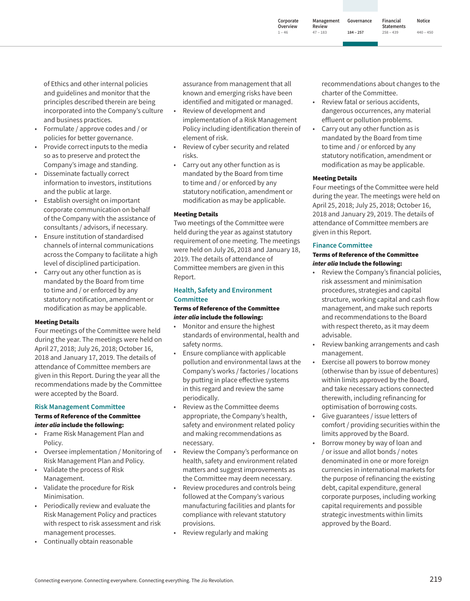**Corporate Overview Management Review 47 ‒ 183**

**1 ‒ 46**

**Governance 184 ‒ 257 Financial Statements 258 ‒ 439**

**Notice 440 ‒ 450**

of Ethics and other internal policies and guidelines and monitor that the principles described therein are being incorporated into the Company's culture and business practices.

- Formulate / approve codes and / or policies for better governance.
- Provide correct inputs to the media so as to preserve and protect the Company's image and standing.
- Disseminate factually correct information to investors, institutions and the public at large.
- Establish oversight on important corporate communication on behalf of the Company with the assistance of consultants / advisors, if necessary.
- Ensure institution of standardised channels of internal communications across the Company to facilitate a high level of disciplined participation.
- Carry out any other function as is mandated by the Board from time to time and / or enforced by any statutory notification, amendment or modification as may be applicable.

#### Meeting Details

Four meetings of the Committee were held during the year. The meetings were held on April 27, 2018; July 26, 2018; October 16, 2018 and January 17, 2019. The details of attendance of Committee members are given in this Report. During the year all the recommendations made by the Committee were accepted by the Board.

#### **Risk Management Committee** Terms of Reference of the Committee *inter alia* include the following:

- Frame Risk Management Plan and Policy.
- Oversee implementation / Monitoring of Risk Management Plan and Policy.
- Validate the process of Risk Management.
- Validate the procedure for Risk Minimisation.
- Periodically review and evaluate the Risk Management Policy and practices with respect to risk assessment and risk management processes.
- Continually obtain reasonable

assurance from management that all known and emerging risks have been identified and mitigated or managed.

- Review of development and implementation of a Risk Management Policy including identification therein of element of risk.
- Review of cyber security and related risks.
- Carry out any other function as is mandated by the Board from time to time and / or enforced by any statutory notification, amendment or modification as may be applicable.

#### Meeting Details

Two meetings of the Committee were held during the year as against statutory requirement of one meeting. The meetings were held on July 26, 2018 and January 18, 2019. The details of attendance of Committee members are given in this Report.

# **Health, Safety and Environment Committee**

#### Terms of Reference of the Committee *inter alia* include the following:

- Monitor and ensure the highest standards of environmental, health and safety norms.
- Ensure compliance with applicable pollution and environmental laws at the Company's works / factories / locations by putting in place effective systems in this regard and review the same periodically.
- Review as the Committee deems appropriate, the Company's health, safety and environment related policy and making recommendations as necessary.
- Review the Company's performance on health, safety and environment related matters and suggest improvements as the Committee may deem necessary.
- Review procedures and controls being followed at the Company's various manufacturing facilities and plants for compliance with relevant statutory provisions.
- Review regularly and making

recommendations about changes to the charter of the Committee.

- Review fatal or serious accidents, dangerous occurrences, any material effluent or pollution problems.
- Carry out any other function as is mandated by the Board from time to time and / or enforced by any statutory notification, amendment or modification as may be applicable.

## Meeting Details

Four meetings of the Committee were held during the year. The meetings were held on April 25, 2018; July 25, 2018; October 16, 2018 and January 29, 2019. The details of attendance of Committee members are given in this Report.

## **Finance Committee**

#### Terms of Reference of the Committee *inter alia* Include the following:

- Review the Company's financial policies, risk assessment and minimisation procedures, strategies and capital structure, working capital and cash flow management, and make such reports and recommendations to the Board with respect thereto, as it may deem advisable.
- Review banking arrangements and cash management.
- Exercise all powers to borrow money (otherwise than by issue of debentures) within limits approved by the Board, and take necessary actions connected therewith, including refinancing for optimisation of borrowing costs.
- Give guarantees / issue letters of comfort / providing securities within the limits approved by the Board.
- Borrow money by way of loan and / or issue and allot bonds / notes denominated in one or more foreign currencies in international markets for the purpose of refinancing the existing debt, capital expenditure, general corporate purposes, including working capital requirements and possible strategic investments within limits approved by the Board.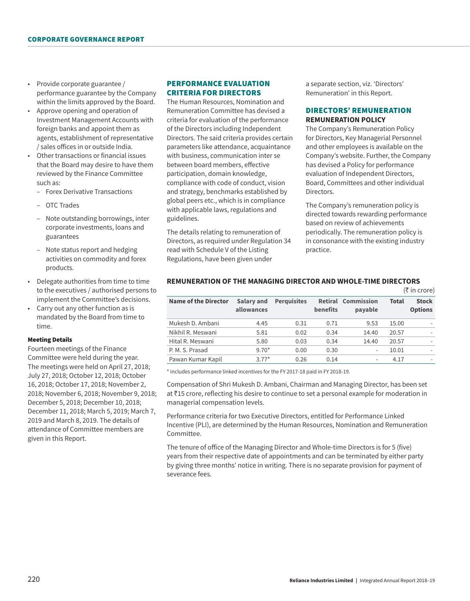- Provide corporate guarantee / performance guarantee by the Company within the limits approved by the Board.
- Approve opening and operation of Investment Management Accounts with foreign banks and appoint them as agents, establishment of representative / sales offices in or outside India.
- Other transactions or financial issues that the Board may desire to have them reviewed by the Finance Committee such as:
	- Forex Derivative Transactions
	- OTC Trades
	- Note outstanding borrowings, inter corporate investments, loans and guarantees
	- Note status report and hedging activities on commodity and forex products.
- Delegate authorities from time to time to the executives / authorised persons to implement the Committee's decisions.
- Carry out any other function as is mandated by the Board from time to time.

#### Meeting Details

Fourteen meetings of the Finance Committee were held during the year. The meetings were held on April 27, 2018; July 27, 2018; October 12, 2018; October 16, 2018; October 17, 2018; November 2, 2018; November 6, 2018; November 9, 2018; December 5, 2018; December 10, 2018; December 11, 2018; March 5, 2019; March 7, 2019 and March 8, 2019. The details of attendance of Committee members are given in this Report.

## PERFORMANCE EVALUATION CRITERIA FOR DIRECTORS

The Human Resources, Nomination and Remuneration Committee has devised a criteria for evaluation of the performance of the Directors including Independent Directors. The said criteria provides certain parameters like attendance, acquaintance with business, communication inter se between board members, effective participation, domain knowledge, compliance with code of conduct, vision and strategy, benchmarks established by global peers etc., which is in compliance with applicable laws, regulations and guidelines.

The details relating to remuneration of Directors, as required under Regulation 34 read with Schedule V of the Listing Regulations, have been given under

a separate section, viz. 'Directors' Remuneration' in this Report.

## DIRECTORS' REMUNERATION **REMUNERATION POLICY**

The Company's Remuneration Policy for Directors, Key Managerial Personnel and other employees is available on the Company's website. Further, the Company has devised a Policy for performance evaluation of Independent Directors, Board, Committees and other individual Directors.

The Company's remuneration policy is directed towards rewarding performance based on review of achievements periodically. The remuneration policy is in consonance with the existing industry practice.

 $(\pm in \text{error})$ 

|                      |                          |                    |                 |                                      |       | $(1)$ $(1)$ $(0)$ $(0)$        |
|----------------------|--------------------------|--------------------|-----------------|--------------------------------------|-------|--------------------------------|
| Name of the Director | Salary and<br>allowances | <b>Perquisites</b> | <b>benefits</b> | <b>Retiral Commission</b><br>payable | Total | <b>Stock</b><br><b>Options</b> |
| Mukesh D. Ambani     | 4.45                     | 0.31               | 0.71            | 9.53                                 | 15.00 |                                |
| Nikhil R. Meswani    | 5.81                     | 0.02               | 0.34            | 14.40                                | 20.57 | $\overline{\phantom{a}}$       |
| Hital R. Meswani     | 5.80                     | 0.03               | 0.34            | 14.40                                | 20.57 |                                |
| P. M. S. Prasad      | $9.70*$                  | 0.00               | 0.30            | -                                    | 10.01 |                                |
| Pawan Kumar Kapil    | $3.77*$                  | 0.26               | 0.14            | $\qquad \qquad \blacksquare$         | 4.17  | $\overline{\phantom{a}}$       |

# **REMUNERATION OF THE MANAGING DIRECTOR AND WHOLE-TIME DIRECTORS**

\* includes performance linked incentives for the FY 2017-18 paid in FY 2018-19.

Compensation of Shri Mukesh D. Ambani, Chairman and Managing Director, has been set at ₹15 crore, reflecting his desire to continue to set a personal example for moderation in managerial compensation levels.

Performance criteria for two Executive Directors, entitled for Performance Linked Incentive (PLI), are determined by the Human Resources, Nomination and Remuneration Committee.

The tenure of office of the Managing Director and Whole-time Directors is for 5 (five) years from their respective date of appointments and can be terminated by either party by giving three months' notice in writing. There is no separate provision for payment of severance fees.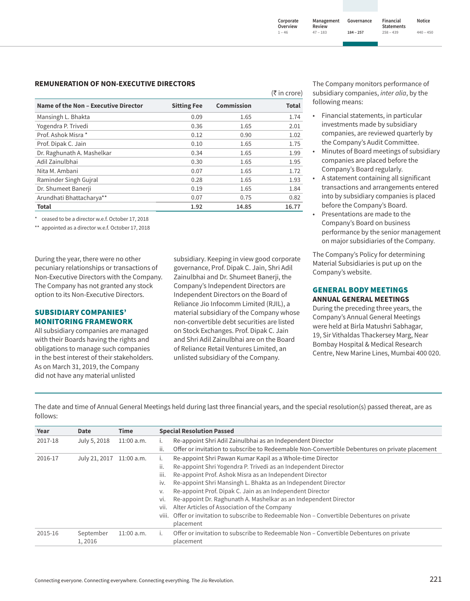#### **REMUNERATION OF NON-EXECUTIVE DIRECTORS**

|                                      |                    |                   | $(\bar{\bar{\tau}})$ in crore) |
|--------------------------------------|--------------------|-------------------|--------------------------------|
| Name of the Non - Executive Director | <b>Sitting Fee</b> | <b>Commission</b> | <b>Total</b>                   |
| Mansingh L. Bhakta                   | 0.09               | 1.65              | 1.74                           |
| Yogendra P. Trivedi                  | 0.36               | 1.65              | 2.01                           |
| Prof. Ashok Misra *                  | 0.12               | 0.90              | 1.02                           |
| Prof. Dipak C. Jain                  | 0.10               | 1.65              | 1.75                           |
| Dr. Raghunath A. Mashelkar           | 0.34               | 1.65              | 1.99                           |
| Adil Zainulbhai                      | 0.30               | 1.65              | 1.95                           |
| Nita M. Ambani                       | 0.07               | 1.65              | 1.72                           |
| Raminder Singh Gujral                | 0.28               | 1.65              | 1.93                           |
| Dr. Shumeet Banerji                  | 0.19               | 1.65              | 1.84                           |
| Arundhati Bhattacharya**             | 0.07               | 0.75              | 0.82                           |
| <b>Total</b>                         | 1.92               | 14.85             | 16.77                          |

ceased to be a director w.e.f. October 17, 2018

\*\* appointed as a director w.e.f. October 17, 2018

During the year, there were no other pecuniary relationships or transactions of Non-Executive Directors with the Company. The Company has not granted any stock option to its Non-Executive Directors.

### SUBSIDIARY COMPANIES' MONITORING FRAMEWORK

All subsidiary companies are managed with their Boards having the rights and obligations to manage such companies in the best interest of their stakeholders. As on March 31, 2019, the Company did not have any material unlisted

subsidiary. Keeping in view good corporate governance, Prof. Dipak C. Jain, Shri Adil Zainulbhai and Dr. Shumeet Banerji, the Company's Independent Directors are Independent Directors on the Board of Reliance Jio Infocomm Limited (RJIL), a material subsidiary of the Company whose non-convertible debt securities are listed on Stock Exchanges. Prof. Dipak C. Jain and Shri Adil Zainulbhai are on the Board of Reliance Retail Ventures Limited, an unlisted subsidiary of the Company.

The Company monitors performance of subsidiary companies, *inter alia*, by the following means:

- Financial statements, in particular investments made by subsidiary companies, are reviewed quarterly by the Company's Audit Committee.
- Minutes of Board meetings of subsidiary companies are placed before the Company's Board regularly.
- A statement containing all significant transactions and arrangements entered into by subsidiary companies is placed before the Company's Board.
- Presentations are made to the Company's Board on business performance by the senior management on major subsidiaries of the Company.

The Company's Policy for determining Material Subsidiaries is put up on the Company's website.

#### GENERAL BODY MEETINGS **ANNUAL GENERAL MEETINGS**

During the preceding three years, the Company's Annual General Meetings were held at Birla Matushri Sabhagar, 19, Sir Vithaldas Thackersey Marg, Near Bombay Hospital & Medical Research Centre, New Marine Lines, Mumbai 400 020.

The date and time of Annual General Meetings held during last three financial years, and the special resolution(s) passed thereat, are as follows:

| Year    | Date          | <b>Time</b>  |      | <b>Special Resolution Passed</b>                                                               |
|---------|---------------|--------------|------|------------------------------------------------------------------------------------------------|
| 2017-18 | July 5, 2018  | $11:00$ a.m. |      | Re-appoint Shri Adil Zainulbhai as an Independent Director                                     |
|         |               |              | ii.  | Offer or invitation to subscribe to Redeemable Non-Convertible Debentures on private placement |
| 2016-17 | July 21, 2017 | $11:00$ a.m. |      | Re-appoint Shri Pawan Kumar Kapil as a Whole-time Director                                     |
|         |               |              | ii.  | Re-appoint Shri Yogendra P. Trivedi as an Independent Director                                 |
|         |               |              | iii. | Re-appoint Prof. Ashok Misra as an Independent Director                                        |
|         |               |              | IV.  | Re-appoint Shri Mansingh L. Bhakta as an Independent Director                                  |
|         |               |              | V.   | Re-appoint Prof. Dipak C. Jain as an Independent Director                                      |
|         |               |              | Vİ.  | Re-appoint Dr. Raghunath A. Mashelkar as an Independent Director                               |
|         |               |              | vii. | Alter Articles of Association of the Company                                                   |
|         |               |              |      | viii. Offer or invitation to subscribe to Redeemable Non – Convertible Debentures on private   |
|         |               |              |      | placement                                                                                      |
| 2015-16 | September     | 11:00a.m.    |      | Offer or invitation to subscribe to Redeemable Non – Convertible Debentures on private         |
|         | 1.2016        |              |      | placement                                                                                      |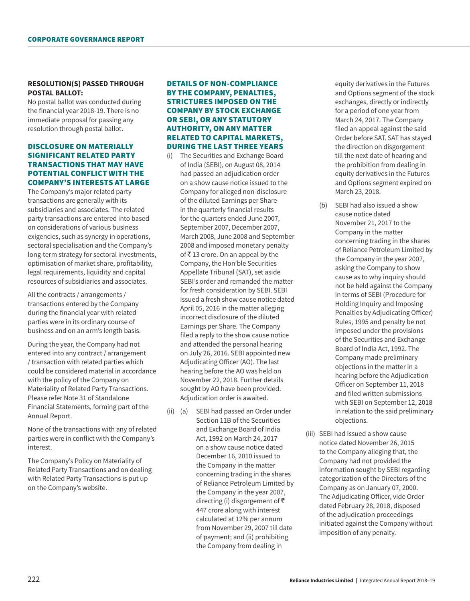## **RESOLUTION(S) PASSED THROUGH POSTAL BALLOT:**

No postal ballot was conducted during the financial year 2018-19. There is no immediate proposal for passing any resolution through postal ballot.

## DISCLOSURE ON MATERIALLY SIGNIFICANT RELATED PARTY TRANSACTIONS THAT MAY HAVE POTENTIAL CONFLICT WITH THE COMPANY'S INTERESTS AT LARGE

The Company's major related party transactions are generally with its subsidiaries and associates. The related party transactions are entered into based on considerations of various business exigencies, such as synergy in operations, sectoral specialisation and the Company's long-term strategy for sectoral investments, optimisation of market share, profitability, legal requirements, liquidity and capital resources of subsidiaries and associates.

All the contracts / arrangements / transactions entered by the Company during the financial year with related parties were in its ordinary course of business and on an arm's length basis.

During the year, the Company had not entered into any contract / arrangement / transaction with related parties which could be considered material in accordance with the policy of the Company on Materiality of Related Party Transactions. Please refer Note 31 of Standalone Financial Statements, forming part of the Annual Report.

None of the transactions with any of related parties were in conflict with the Company's interest.

The Company's Policy on Materiality of Related Party Transactions and on dealing with Related Party Transactions is put up on the Company's website.

## DETAILS OF NON-COMPLIANCE BY THE COMPANY, PENALTIES, STRICTURES IMPOSED ON THE COMPANY BY STOCK EXCHANGE OR SEBI, OR ANY STATUTORY AUTHORITY, ON ANY MATTER RELATED TO CAPITAL MARKETS, DURING THE LAST THREE YEARS

- (i) The Securities and Exchange Board of India (SEBI), on August 08, 2014 had passed an adjudication order on a show cause notice issued to the Company for alleged non-disclosure of the diluted Earnings per Share in the quarterly financial results for the quarters ended June 2007, September 2007, December 2007, March 2008, June 2008 and September 2008 and imposed monetary penalty of  $\bar{\tau}$  13 crore. On an appeal by the Company, the Hon'ble Securities Appellate Tribunal (SAT), set aside SEBI's order and remanded the matter for fresh consideration by SEBI. SEBI issued a fresh show cause notice dated April 05, 2016 in the matter alleging incorrect disclosure of the diluted Earnings per Share. The Company filed a reply to the show cause notice and attended the personal hearing on July 26, 2016. SEBI appointed new Adjudicating Officer (AO). The last hearing before the AO was held on November 22, 2018. Further details sought by AO have been provided. Adjudication order is awaited.
- (ii) (a) SEBI had passed an Order under Section 11B of the Securities and Exchange Board of India Act, 1992 on March 24, 2017 on a show cause notice dated December 16, 2010 issued to the Company in the matter concerning trading in the shares of Reliance Petroleum Limited by the Company in the year 2007, directing (i) disgorgement of  $\bar{\tau}$ 447 crore along with interest calculated at 12% per annum from November 29, 2007 till date of payment; and (ii) prohibiting the Company from dealing in

equity derivatives in the Futures and Options segment of the stock exchanges, directly or indirectly for a period of one year from March 24, 2017. The Company filed an appeal against the said Order before SAT. SAT has stayed the direction on disgorgement till the next date of hearing and the prohibition from dealing in equity derivatives in the Futures and Options segment expired on March 23, 2018.

- (b) SEBI had also issued a show cause notice dated November 21, 2017 to the Company in the matter concerning trading in the shares of Reliance Petroleum Limited by the Company in the year 2007, asking the Company to show cause as to why inquiry should not be held against the Company in terms of SEBI (Procedure for Holding Inquiry and Imposing Penalties by Adjudicating Officer) Rules, 1995 and penalty be not imposed under the provisions of the Securities and Exchange Board of India Act, 1992. The Company made preliminary objections in the matter in a hearing before the Adjudication Officer on September 11, 2018 and filed written submissions with SEBI on September 12, 2018 in relation to the said preliminary objections.
- (iii) SEBI had issued a show cause notice dated November 26, 2015 to the Company alleging that, the Company had not provided the information sought by SEBI regarding categorization of the Directors of the Company as on January 07, 2000. The Adjudicating Officer, vide Order dated February 28, 2018, disposed of the adjudication proceedings initiated against the Company without imposition of any penalty.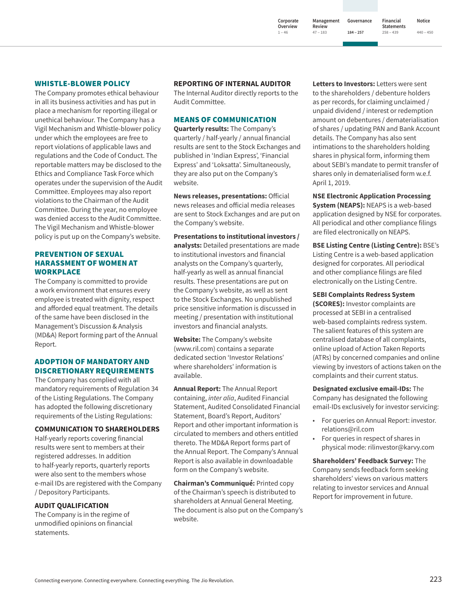**Corporate Overview Management Review 47 ‒ 183**

**1 ‒ 46**

**Governance 184 ‒ 257**

**Financial Statements Notice 440 ‒ 450**

**258 ‒ 439**

#### WHISTLE-BLOWER POLICY

The Company promotes ethical behaviour in all its business activities and has put in place a mechanism for reporting illegal or unethical behaviour. The Company has a Vigil Mechanism and Whistle-blower policy under which the employees are free to report violations of applicable laws and regulations and the Code of Conduct. The reportable matters may be disclosed to the Ethics and Compliance Task Force which operates under the supervision of the Audit Committee. Employees may also report violations to the Chairman of the Audit Committee. During the year, no employee was denied access to the Audit Committee. The Vigil Mechanism and Whistle-blower policy is put up on the Company's website.

## PREVENTION OF SEXUAL HARASSMENT OF WOMEN AT WORKPLACE

The Company is committed to provide a work environment that ensures every employee is treated with dignity, respect and afforded equal treatment. The details of the same have been disclosed in the Management's Discussion & Analysis (MD&A) Report forming part of the Annual Report.

## ADOPTION OF MANDATORY AND DISCRETIONARY REQUIREMENTS

The Company has complied with all mandatory requirements of Regulation 34 of the Listing Regulations. The Company has adopted the following discretionary requirements of the Listing Regulations:

#### **COMMUNICATION TO SHAREHOLDERS**

Half-yearly reports covering financial results were sent to members at their registered addresses. In addition to half-yearly reports, quarterly reports were also sent to the members whose e-mail IDs are registered with the Company / Depository Participants.

### **AUDIT QUALIFICATION**

The Company is in the regime of unmodified opinions on financial statements.

**REPORTING OF INTERNAL AUDITOR**

The Internal Auditor directly reports to the Audit Committee.

## MEANS OF COMMUNICATION

**Quarterly results:** The Company's quarterly / half-yearly / annual financial results are sent to the Stock Exchanges and published in 'Indian Express', 'Financial Express' and 'Loksatta'. Simultaneously, they are also put on the Company's website.

**News releases, presentations:** Official news releases and official media releases are sent to Stock Exchanges and are put on the Company's website.

**Presentations to institutional investors / analysts:** Detailed presentations are made to institutional investors and financial analysts on the Company's quarterly, half-yearly as well as annual financial results. These presentations are put on the Company's website, as well as sent to the Stock Exchanges. No unpublished price sensitive information is discussed in meeting / presentation with institutional investors and financial analysts.

**Website:** The Company's website (www.ril.com) contains a separate dedicated section 'Investor Relations' where shareholders' information is available.

**Annual Report:** The Annual Report containing, *inter alia*, Audited Financial Statement, Audited Consolidated Financial Statement, Board's Report, Auditors' Report and other important information is circulated to members and others entitled thereto. The MD&A Report forms part of the Annual Report. The Company's Annual Report is also available in downloadable form on the Company's website.

**Chairman's Communiqué:** Printed copy of the Chairman's speech is distributed to shareholders at Annual General Meeting. The document is also put on the Company's website.

**Letters to Investors:** Letters were sent to the shareholders / debenture holders as per records, for claiming unclaimed / unpaid dividend / interest or redemption amount on debentures / dematerialisation of shares / updating PAN and Bank Account details. The Company has also sent intimations to the shareholders holding shares in physical form, informing them about SEBI's mandate to permit transfer of shares only in dematerialised form w.e.f. April 1, 2019.

**NSE Electronic Application Processing System (NEAPS):** NEAPS is a web-based application designed by NSE for corporates. All periodical and other compliance filings are filed electronically on NEAPS.

**BSE Listing Centre (Listing Centre):** BSE's Listing Centre is a web-based application designed for corporates. All periodical and other compliance filings are filed electronically on the Listing Centre.

**SEBI Complaints Redress System** 

**(SCORES):** Investor complaints are processed at SEBI in a centralised web-based complaints redress system. The salient features of this system are centralised database of all complaints, online upload of Action Taken Reports (ATRs) by concerned companies and online viewing by investors of actions taken on the complaints and their current status.

**Designated exclusive email-IDs:** The Company has designated the following email-IDs exclusively for investor servicing:

- For queries on Annual Report: investor. relations@ril.com
- For queries in respect of shares in physical mode: rilinvestor@karvy.com

**Shareholders' Feedback Survey:** The Company sends feedback form seeking shareholders' views on various matters relating to investor services and Annual Report for improvement in future.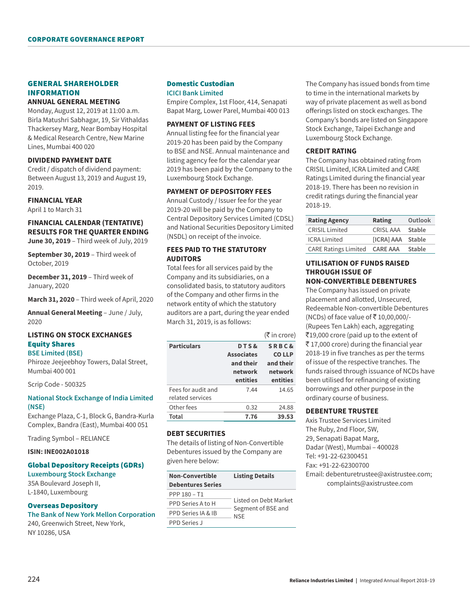# GENERAL SHAREHOLDER INFORMATION

#### **ANNUAL GENERAL MEETING**

Monday, August 12, 2019 at 11:00 a.m. Birla Matushri Sabhagar, 19, Sir Vithaldas Thackersey Marg, Near Bombay Hospital & Medical Research Centre, New Marine Lines, Mumbai 400 020

#### **DIVIDEND PAYMENT DATE**

Credit / dispatch of dividend payment: Between August 13, 2019 and August 19, 2019.

## **FINANCIAL YEAR**

April 1 to March 31

# **FINANCIAL CALENDAR (TENTATIVE) RESULTS FOR THE QUARTER ENDING**

**June 30, 2019** – Third week of July, 2019

**September 30, 2019** – Third week of October, 2019

**December 31, 2019** – Third week of January, 2020

**March 31, 2020** – Third week of April, 2020

**Annual General Meeting** – June / July, 2020

## **LISTING ON STOCK EXCHANGES** Equity Shares

#### **BSE Limited (BSE)**

Phiroze Jeejeebhoy Towers, Dalal Street, Mumbai 400 001

Scrip Code - 500325

## **National Stock Exchange of India Limited (NSE)**

Exchange Plaza, C-1, Block G, Bandra-Kurla Complex, Bandra (East), Mumbai 400 051

Trading Symbol – RELIANCE

## **ISIN: INE002A01018**

#### Global Depository Receipts (GDRs)

**Luxembourg Stock Exchange**  35A Boulevard Joseph II, L-1840, Luxembourg

#### Overseas Depository

**The Bank of New York Mellon Corporation** 240, Greenwich Street, New York, NY 10286, USA

#### Domestic Custodian **ICICI Bank Limited**

Empire Complex, 1st Floor, 414, Senapati Bapat Marg, Lower Parel, Mumbai 400 013

#### **PAYMENT OF LISTING FEES**

Annual listing fee for the financial year 2019-20 has been paid by the Company to BSE and NSE. Annual maintenance and listing agency fee for the calendar year 2019 has been paid by the Company to the Luxembourg Stock Exchange.

#### **PAYMENT OF DEPOSITORY FEES**

Annual Custody / Issuer fee for the year 2019-20 will be paid by the Company to Central Depository Services Limited (CDSL) and National Securities Depository Limited (NSDL) on receipt of the invoice.

## **FEES PAID TO THE STATUTORY AUDITORS**

Total fees for all services paid by the Company and its subsidiaries, on a consolidated basis, to statutory auditors of the Company and other firms in the network entity of which the statutory auditors are a part, during the year ended March 31, 2019, is as follows:

|                    |                   | (₹ in crore)     |
|--------------------|-------------------|------------------|
| <b>Particulars</b> | <b>DTS&amp;</b>   | <b>SRBC&amp;</b> |
|                    | <b>Associates</b> | <b>COLLP</b>     |
|                    | and their         | and their        |
|                    | network           | network          |
|                    |                   |                  |
|                    | entities          | entities         |
| Fees for audit and | 7.44              | 14.65            |
| related services   |                   |                  |
| Other fees         | 0.32              | 24.88            |

#### **DEBT SECURITIES**

The details of listing of Non-Convertible Debentures issued by the Company are given here below:

| Non-Convertible<br><b>Debentures Series</b> | <b>Listing Details</b>    |
|---------------------------------------------|---------------------------|
| PPP 180 - T1                                |                           |
| PPD Series A to H                           | Listed on Debt Market     |
| PPD Series IA & IB                          | Segment of BSE and<br>NSF |
| <b>PPD Series J</b>                         |                           |

The Company has issued bonds from time to time in the international markets by way of private placement as well as bond offerings listed on stock exchanges. The Company's bonds are listed on Singapore Stock Exchange, Taipei Exchange and Luxembourg Stock Exchange.

## **CREDIT RATING**

The Company has obtained rating from CRISIL Limited, ICRA Limited and CARE Ratings Limited during the financial year 2018-19. There has been no revision in credit ratings during the financial year 2018-19.

| <b>Rating Agency</b>        | Rating                   | Outlook       |
|-----------------------------|--------------------------|---------------|
| <b>CRISIL Limited</b>       | <b>CRISL AAA</b>         | Stable        |
| <b>ICRA Limited</b>         | <b>[ICRA] AAA Stable</b> |               |
| <b>CARE Ratings Limited</b> | <b>CARE AAA</b>          | <b>Stable</b> |

#### **UTILISATION OF FUNDS RAISED THROUGH ISSUE OF NON-CONVERTIBLE DEBENTURES**

The Company has issued on private placement and allotted, Unsecured, Redeemable Non-convertible Debentures (NCDs) of face value of ₹10,00,000/-(Rupees Ten Lakh) each, aggregating  $\overline{5}19,000$  crore (paid up to the extent of  $\overline{5}$  17,000 crore) during the financial year 2018-19 in five tranches as per the terms of issue of the respective tranches. The funds raised through issuance of NCDs have been utilised for refinancing of existing borrowings and other purpose in the ordinary course of business.

### **DEBENTURE TRUSTEE**

Axis Trustee Services Limited The Ruby, 2nd Floor, SW, 29, Senapati Bapat Marg, Dadar (West), Mumbai – 400028 Tel: +91-22-62300451 Fax: +91-22-62300700 Email: [debenturetrustee@axistrustee.com](mailto:debenturetrustee@axistrustee.com); [complaints@axistrustee.com](mailto:complaints@axistrustee.com)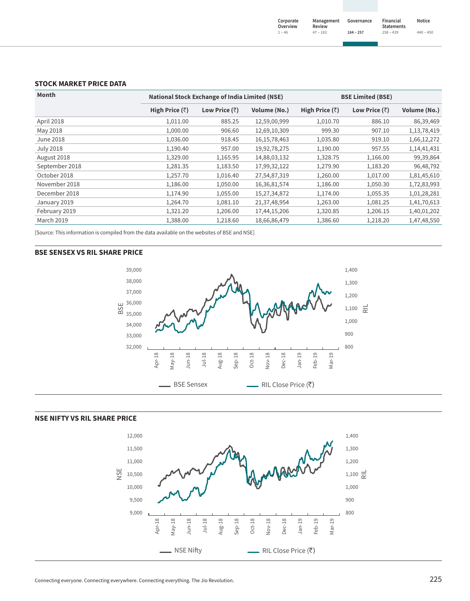### **STOCK MARKET PRICE DATA**

| Month             |                        | <b>National Stock Exchange of India Limited (NSE)</b> |                 | <b>BSE Limited (BSE)</b> |                       |              |
|-------------------|------------------------|-------------------------------------------------------|-----------------|--------------------------|-----------------------|--------------|
|                   | High Price $(\bar{z})$ | Low Price $(\bar{z})$                                 | Volume (No.)    | High Price $(\bar{z})$   | Low Price $(\bar{z})$ | Volume (No.) |
| April 2018        | 1,011.00               | 885.25                                                | 12,59,00,999    | 1,010.70                 | 886.10                | 86,39,469    |
| May 2018          | 1,000.00               | 906.60                                                | 12,69,10,309    | 999.30                   | 907.10                | 1,13,78,419  |
| June 2018         | 1,036.00               | 918.45                                                | 16, 15, 78, 463 | 1,035.80                 | 919.10                | 1,66,12,272  |
| <b>July 2018</b>  | 1,190.40               | 957.00                                                | 19,92,78,275    | 1,190.00                 | 957.55                | 1,14,41,431  |
| August 2018       | 1,329.00               | 1,165.95                                              | 14,88,03,132    | 1,328.75                 | 1,166.00              | 99,39,864    |
| September 2018    | 1,281.35               | 1,183.50                                              | 17,99,32,122    | 1,279.90                 | 1,183.20              | 96,48,792    |
| October 2018      | 1,257.70               | 1,016.40                                              | 27,54,87,319    | 1,260.00                 | 1,017.00              | 1,81,45,610  |
| November 2018     | 1,186.00               | 1,050.00                                              | 16,36,81,574    | 1,186.00                 | 1,050.30              | 1,72,83,993  |
| December 2018     | 1,174.90               | 1,055.00                                              | 15,27,34,872    | 1,174.00                 | 1,055.35              | 1,01,28,281  |
| January 2019      | 1,264.70               | 1,081.10                                              | 21,37,48,954    | 1,263.00                 | 1,081.25              | 1,41,70,613  |
| February 2019     | 1,321.20               | 1,206.00                                              | 17,44,15,206    | 1,320.85                 | 1,206.15              | 1,40,01,202  |
| <b>March 2019</b> | 1,388.00               | 1,218.60                                              | 18,66,86,479    | 1,386.60                 | 1,218.20              | 1,47,48,550  |

[Source: This information is compiled from the data available on the websites of BSE and NSE]

#### **BSE SENSEX VS RIL SHARE PRICE**





# **NSE NIFTY VS RIL SHARE PRICE**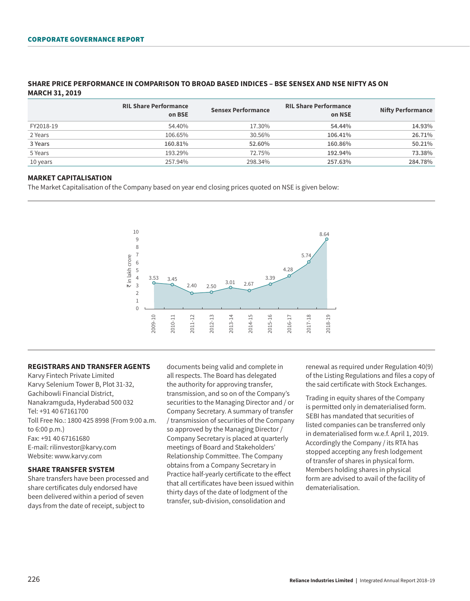|           | <b>RIL Share Performance</b><br>on BSE | <b>Sensex Performance</b> | <b>RIL Share Performance</b><br>on NSE | <b>Nifty Performance</b> |
|-----------|----------------------------------------|---------------------------|----------------------------------------|--------------------------|
| FY2018-19 | 54.40%                                 | 17.30%                    | 54.44%                                 | 14.93%                   |
| 2 Years   | 106.65%                                | 30.56%                    | 106.41%                                | 26.71%                   |
| 3 Years   | 160.81%                                | 52.60%                    | 160.86%                                | 50.21%                   |
| 5 Years   | 193.29%                                | 72.75%                    | 192.94%                                | 73.38%                   |
| 10 years  | 257.94%                                | 298.34%                   | 257.63%                                | 284.78%                  |

## **SHARE PRICE PERFORMANCE IN COMPARISON TO BROAD BASED INDICES – BSE SENSEX AND NSE NIFTY AS ON MARCH 31, 2019**

## **MARKET CAPITALISATION**

The Market Capitalisation of the Company based on year end closing prices quoted on NSE is given below:



### **REGISTRARS AND TRANSFER AGENTS**

Karvy Fintech Private Limited Karvy Selenium Tower B, Plot 31-32, Gachibowli Financial District, Nanakramguda, Hyderabad 500 032 Tel: +91 40 67161700 Toll Free No.: 1800 425 8998 (From 9:00 a.m. to 6:00 p.m.) Fax: +91 40 67161680 E-mail: [rilinvestor@karvy.com](mailto:rilinvestor@karvy.com) Website: www.karvy.com

### **SHARE TRANSFER SYSTEM**

Share transfers have been processed and share certificates duly endorsed have been delivered within a period of seven days from the date of receipt, subject to

documents being valid and complete in all respects. The Board has delegated the authority for approving transfer, transmission, and so on of the Company's securities to the Managing Director and / or Company Secretary. A summary of transfer / transmission of securities of the Company so approved by the Managing Director / Company Secretary is placed at quarterly meetings of Board and Stakeholders' Relationship Committee. The Company obtains from a Company Secretary in Practice half-yearly certificate to the effect that all certificates have been issued within thirty days of the date of lodgment of the transfer, sub-division, consolidation and

renewal as required under Regulation 40(9) of the Listing Regulations and files a copy of the said certificate with Stock Exchanges.

Trading in equity shares of the Company is permitted only in dematerialised form. SEBI has mandated that securities of listed companies can be transferred only in dematerialised form w.e.f. April 1, 2019. Accordingly the Company / its RTA has stopped accepting any fresh lodgement of transfer of shares in physical form. Members holding shares in physical form are advised to avail of the facility of dematerialisation.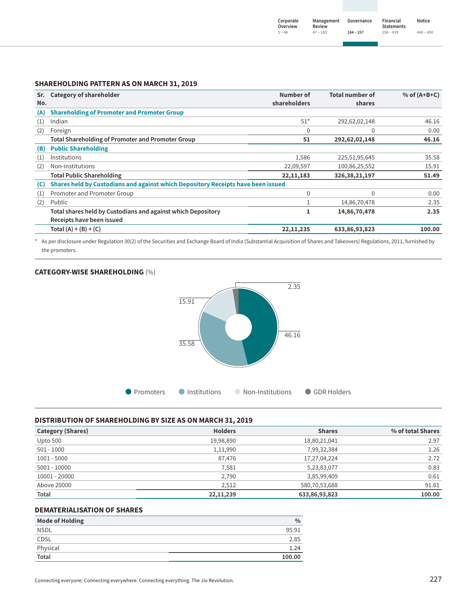| Corporate<br>Overview | Management<br>Review | Governance  | Financial<br><b>Statements</b> | Notice      |
|-----------------------|----------------------|-------------|--------------------------------|-------------|
| $1 - 46$              | $47 - 183$           | $184 - 257$ | $258 - 439$                    | $440 - 450$ |

## **SHAREHOLDING PATTERN AS ON MARCH 31, 2019**

| Sr.<br>No. | <b>Category of shareholder</b>                                                            | Number of<br>shareholders | <b>Total number of</b><br>shares | $%$ of (A+B+C) |
|------------|-------------------------------------------------------------------------------------------|---------------------------|----------------------------------|----------------|
| (A)        | <b>Shareholding of Promoter and Promoter Group</b>                                        |                           |                                  |                |
| (1)        | Indian                                                                                    | $51*$                     | 292,62,02,148                    | 46.16          |
| (2)        | Foreign                                                                                   | 0                         | $\Omega$                         | 0.00           |
|            | <b>Total Shareholding of Promoter and Promoter Group</b>                                  | 51                        | 292,62,02,148                    | 46.16          |
| (B)        | <b>Public Shareholding</b>                                                                |                           |                                  |                |
| (1)        | Institutions                                                                              | 1,586                     | 225,51,95,645                    | 35.58          |
| (2)        | Non-institutions                                                                          | 22,09,597                 | 100,86,25,552                    | 15.91          |
|            | <b>Total Public Shareholding</b>                                                          | 22, 11, 183               | 326, 38, 21, 197                 | 51.49          |
| (C)        | Shares held by Custodians and against which Depository Receipts have been issued          |                           |                                  |                |
| (1)        | Promoter and Promoter Group                                                               | $\mathbf{0}$              | $\mathbf 0$                      | 0.00           |
| (2)        | Public                                                                                    | 1                         | 14,86,70,478                     | 2.35           |
|            | Total shares held by Custodians and against which Depository<br>Receipts have been issued | 1                         | 14,86,70,478                     | 2.35           |
|            | Total $(A) + (B) + (C)$                                                                   | 22, 11, 235               | 633,86,93,823                    | 100.00         |

\* As per disclosure under Regulation 30(2) of the Securities and Exchange Board of India (Substantial Acquisition of Shares and Takeovers) Regulations, 2011, furnished by the promoters.

## **CATEGORY-WISE SHAREHOLDING** (%)



## **DISTRIBUTION OF SHAREHOLDING BY SIZE AS ON MARCH 31, 2019**

| <b>Category (Shares)</b> | <b>Holders</b> | <b>Shares</b> | % of total Shares |
|--------------------------|----------------|---------------|-------------------|
| Upto 500                 | 19,98,890      | 18,80,21,041  | 2.97              |
| $501 - 1000$             | 1,11,990       | 7,99,32,384   | 1.26              |
| $1001 - 5000$            | 87,476         | 17,27,04,224  | 2.72              |
| $5001 - 10000$           | 7,581          | 5,23,83,077   | 0.83              |
| 10001 - 20000            | 2,790          | 3,85,99,409   | 0.61              |
| Above 20000              | 2.512          | 580,70,53,688 | 91.61             |
| Total                    | 22, 11, 239    | 633,86,93,823 | 100.00            |

## **DEMATERIALISATION OF SHARES**

| <b>Mode of Holding</b> | $\%$   |
|------------------------|--------|
| <b>NSDL</b>            | 95.91  |
| CDSL                   | 2.85   |
| Physical               | 1.24   |
| Total                  | 100.00 |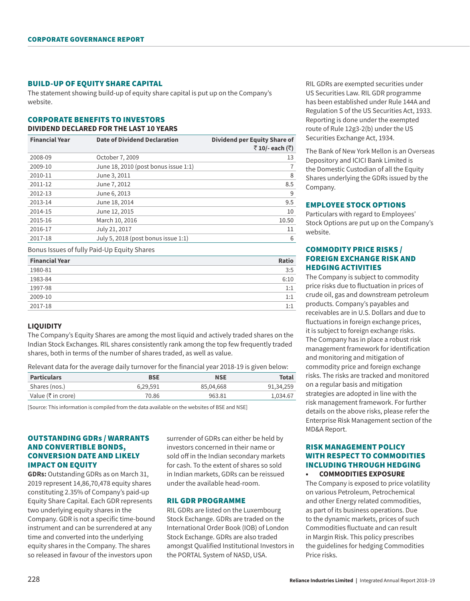#### BUILD-UP OF EQUITY SHARE CAPITAL

The statement showing build-up of equity share capital is put up on the Company's website.

#### CORPORATE BENEFITS TO INVESTORS **DIVIDEND DECLARED FOR THE LAST 10 YEARS**

| <b>Financial Year</b> | <b>Date of Dividend Declaration</b>  | <b>Dividend per Equity Share of</b><br>₹10/-each (₹) |
|-----------------------|--------------------------------------|------------------------------------------------------|
| 2008-09               | October 7, 2009                      | 13                                                   |
| 2009-10               | June 18, 2010 (post bonus issue 1:1) | 7                                                    |
| 2010-11               | June 3, 2011                         | 8                                                    |
| 2011-12               | June 7, 2012                         | 8.5                                                  |
| 2012-13               | June 6, 2013                         | 9                                                    |
| 2013-14               | June 18, 2014                        | 9.5                                                  |
| 2014-15               | June 12, 2015                        | 10                                                   |
| 2015-16               | March 10, 2016                       | 10.50                                                |
| 2016-17               | July 21, 2017                        | 11                                                   |
| 2017-18               | July 5, 2018 (post bonus issue 1:1)  | 6                                                    |
|                       |                                      |                                                      |

Bonus Issues of fully Paid-Up Equity Shares

| <b>Financial Year</b> | <b>Ratio</b> |
|-----------------------|--------------|
| 1980-81               | 3:5          |
| 1983-84               | 6:10         |
| 1997-98               | 1:1          |
| 2009-10               | 1:1          |
| 2017-18               | 1:1          |

#### **LIQUIDITY**

The Company's Equity Shares are among the most liquid and actively traded shares on the Indian Stock Exchanges. RIL shares consistently rank among the top few frequently traded shares, both in terms of the number of shares traded, as well as value.

Relevant data for the average daily turnover for the financial year 2018-19 is given below:

| <b>Particulars</b>             | <b>BSE</b> | <b>NSE</b> | Total     |
|--------------------------------|------------|------------|-----------|
| Shares (nos.)                  | 6.29.591   | 85,04,668  | 91.34.259 |
| Value ( $\bar{\tau}$ in crore) | 70.86      | 963.81     | 1.034.67  |

[Source: This information is compiled from the data available on the websites of BSE and NSE]

## OUTSTANDING GDRs / WARRANTS AND CONVERTIBLE BONDS, CONVERSION DATE AND LIKELY IMPACT ON EQUITY

**GDRs:** Outstanding GDRs as on March 31, 2019 represent 14,86,70,478 equity shares constituting 2.35% of Company's paid-up Equity Share Capital. Each GDR represents two underlying equity shares in the Company. GDR is not a specific time-bound instrument and can be surrendered at any time and converted into the underlying equity shares in the Company. The shares so released in favour of the investors upon

surrender of GDRs can either be held by investors concerned in their name or sold off in the Indian secondary markets for cash. To the extent of shares so sold in Indian markets, GDRs can be reissued under the available head-room.

## RIL GDR PROGRAMME

RIL GDRs are listed on the Luxembourg Stock Exchange. GDRs are traded on the International Order Book (IOB) of London Stock Exchange. GDRs are also traded amongst Qualified Institutional Investors in the PORTAL System of NASD, USA.

RIL GDRs are exempted securities under US Securities Law. RIL GDR programme has been established under Rule 144A and Regulation S of the US Securities Act, 1933. Reporting is done under the exempted route of Rule 12g3-2(b) under the US Securities Exchange Act, 1934.

The Bank of New York Mellon is an Overseas Depository and ICICI Bank Limited is the Domestic Custodian of all the Equity Shares underlying the GDRs issued by the Company.

#### EMPLOYEE STOCK OPTIONS

Particulars with regard to Employees' Stock Options are put up on the Company's website.

## COMMODITY PRICE RISKS / FOREIGN EXCHANGE RISK AND HEDGING ACTIVITIES

The Company is subject to commodity price risks due to fluctuation in prices of crude oil, gas and downstream petroleum products. Company's payables and receivables are in U.S. Dollars and due to fluctuations in foreign exchange prices, it is subject to foreign exchange risks. The Company has in place a robust risk management framework for identification and monitoring and mitigation of commodity price and foreign exchange risks. The risks are tracked and monitored on a regular basis and mitigation strategies are adopted in line with the risk management framework. For further details on the above risks, please refer the Enterprise Risk Management section of the MD&A Report.

## RISK MANAGEMENT POLICY WITH RESPECT TO COMMODITIES INCLUDING THROUGH HEDGING **• COMMODITIES EXPOSURE**

The Company is exposed to price volatility on various Petroleum, Petrochemical and other Energy related commodities, as part of its business operations. Due to the dynamic markets, prices of such Commodities fluctuate and can result in Margin Risk. This policy prescribes the guidelines for hedging Commodities Price risks.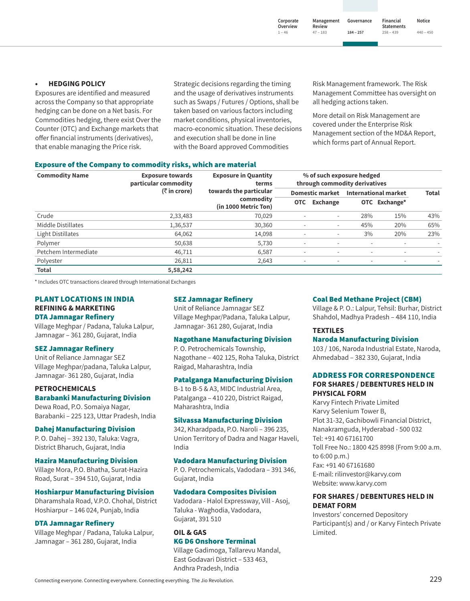**1 ‒ 46**

**Financial Statements 258 ‒ 439 Notice 440 ‒ 450**

## **• HEDGING POLICY**

Exposures are identified and measured across the Company so that appropriate hedging can be done on a Net basis. For Commodities hedging, there exist Over the Counter (OTC) and Exchange markets that offer financial instruments (derivatives), that enable managing the Price risk.

Strategic decisions regarding the timing and the usage of derivatives instruments such as Swaps / Futures / Options, shall be taken based on various factors including market conditions, physical inventories, macro-economic situation. These decisions and execution shall be done in line with the Board approved Commodities

Risk Management framework. The Risk Management Committee has oversight on all hedging actions taken.

**184 ‒ 257**

More detail on Risk Management are covered under the Enterprise Risk Management section of the MD&A Report, which forms part of Annual Report.

#### Exposure of the Company to commodity risks, which are material

| <b>Commodity Name</b> | <b>Exposure towards</b><br>particular commodity | <b>Exposure in Quantity</b><br>terms<br>(₹ in crore)<br>towards the particular<br>commodity<br>(in 1000 Metric Ton) | % of such exposure hedged<br>through commodity derivatives |                          |                             |               |              |
|-----------------------|-------------------------------------------------|---------------------------------------------------------------------------------------------------------------------|------------------------------------------------------------|--------------------------|-----------------------------|---------------|--------------|
|                       |                                                 |                                                                                                                     | <b>Domestic market</b>                                     |                          | <b>International market</b> |               | <b>Total</b> |
|                       |                                                 |                                                                                                                     | <b>OTC</b>                                                 | <b>Exchange</b>          |                             | OTC Exchange* |              |
| Crude                 | 2,33,483                                        | 70,029                                                                                                              | $\overline{\phantom{m}}$                                   | $\overline{\phantom{a}}$ | 28%                         | 15%           | 43%          |
| Middle Distillates    | 1,36,537                                        | 30,360                                                                                                              | $\overline{\phantom{m}}$                                   | $\overline{\phantom{a}}$ | 45%                         | 20%           | 65%          |
| Light Distillates     | 64.062                                          | 14,098                                                                                                              | $\overline{\phantom{a}}$                                   | $\overline{\phantom{a}}$ | 3%                          | 20%           | 23%          |
| Polymer               | 50,638                                          | 5,730                                                                                                               | $\overline{\phantom{a}}$                                   |                          |                             |               |              |
| Petchem Intermediate  | 46,711                                          | 6.587                                                                                                               | $\overline{\phantom{a}}$                                   | $\sim$                   | $\overline{\phantom{a}}$    | $\sim$        | -            |
| Polyester             | 26,811                                          | 2,643                                                                                                               | $\overline{\phantom{a}}$                                   | $\overline{\phantom{a}}$ | $\overline{\phantom{a}}$    | $\sim$        |              |
| <b>Total</b>          | 5,58,242                                        |                                                                                                                     |                                                            |                          |                             |               |              |

\* Includes OTC transactions cleared through International Exchanges

# PLANT LOCATIONS IN INDIA **REFINING & MARKETING**

#### DTA Jamnagar Refinery

Village Meghpar / Padana, Taluka Lalpur, Jamnagar – 361 280, Gujarat, India

#### SEZ Jamnagar Refinery

Unit of Reliance Jamnagar SEZ Village Meghpar/padana, Taluka Lalpur, Jamnagar- 361 280, Gujarat, India

# **PETROCHEMICALS**

## Barabanki Manufacturing Division

Dewa Road, P.O. Somaiya Nagar, Barabanki – 225 123, Uttar Pradesh, India

#### Dahej Manufacturing Division

P. O. Dahej – 392 130, Taluka: Vagra, District Bharuch, Gujarat, India

#### Hazira Manufacturing Division

Village Mora, P.O. Bhatha, Surat-Hazira Road, Surat – 394 510, Gujarat, India

#### Hoshiarpur Manufacturing Division

Dharamshala Road, V.P.O. Chohal, District Hoshiarpur – 146 024, Punjab, India

#### DTA Jamnagar Refinery

Village Meghpar / Padana, Taluka Lalpur, Jamnagar – 361 280, Gujarat, India

## SEZ Jamnagar Refinery

Unit of Reliance Jamnagar SEZ Village Meghpar/Padana, Taluka Lalpur, Jamnagar- 361 280, Gujarat, India

#### Nagothane Manufacturing Division

P. O. Petrochemicals Township, Nagothane – 402 125, Roha Taluka, District Raigad, Maharashtra, India

#### Patalganga Manufacturing Division

B-1 to B-5 & A3, MIDC Industrial Area, Patalganga – 410 220, District Raigad, Maharashtra, India

#### Silvassa Manufacturing Division

342, Kharadpada, P.O. Naroli – 396 235, Union Territory of Dadra and Nagar Haveli, India

## Vadodara Manufacturing Division

P. O. Petrochemicals, Vadodara – 391 346, Gujarat, India

#### Vadodara Composites Division

Vadodara - Halol Expressway, Vill - Asoj, Taluka - Waghodia, Vadodara, Gujarat, 391 510

#### **OIL & GAS** KG D6 Onshore Terminal

Village Gadimoga, Tallarevu Mandal, East Godavari District – 533 463, Andhra Pradesh, India

#### Coal Bed Methane Project (CBM)

Village & P. O.: Lalpur, Tehsil: Burhar, District Shahdol, Madhya Pradesh – 484 110, India

### **TEXTILES**

#### Naroda Manufacturing Division

103 / 106, Naroda Industrial Estate, Naroda, Ahmedabad – 382 330, Gujarat, India

### ADDRESS FOR CORRESPONDENCE **FOR SHARES / DEBENTURES HELD IN PHYSICAL FORM**

Karvy Fintech Private Limited Karvy Selenium Tower B, Plot 31-32, Gachibowli Financial District, Nanakramguda, Hyderabad - 500 032 Tel: +91 40 67161700 Toll Free No.: 1800 425 8998 (From 9:00 a.m. to 6:00 p.m.) Fax: +91 40 67161680 E-mail: rilinvestor@karvy.com Website: www.karvy.com

### **FOR SHARES / DEBENTURES HELD IN DEMAT FORM**

Investors' concerned Depository Participant(s) and / or Karvy Fintech Private Limited.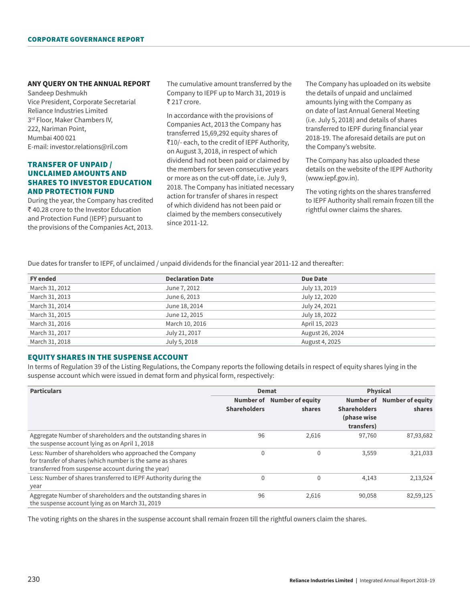## **ANY QUERY ON THE ANNUAL REPORT**

Sandeep Deshmukh Vice President, Corporate Secretarial Reliance Industries Limited 3<sup>rd</sup> Floor, Maker Chambers IV, 222, Nariman Point, Mumbai 400 021 E-mail: investor.relations@ril.com

## TRANSFER OF UNPAID / UNCLAIMED AMOUNTS AND SHARES TO INVESTOR EDUCATION AND PROTECTION FUND

During the year, the Company has credited ₹40.28 crore to the Investor Education and Protection Fund (IEPF) pursuant to the provisions of the Companies Act, 2013.

The cumulative amount transferred by the Company to IEPF up to March 31, 2019 is ₹ 217 crore.

In accordance with the provisions of Companies Act, 2013 the Company has transferred 15,69,292 equity shares of `10/- each, to the credit of IEPF Authority, on August 3, 2018, in respect of which dividend had not been paid or claimed by the members for seven consecutive years or more as on the cut-off date, i.e. July 9, 2018. The Company has initiated necessary action for transfer of shares in respect of which dividend has not been paid or claimed by the members consecutively since 2011-12.

The Company has uploaded on its website the details of unpaid and unclaimed amounts lying with the Company as on date of last Annual General Meeting (i.e. July 5, 2018) and details of shares transferred to IEPF during financial year 2018-19. The aforesaid details are put on the Company's website.

The Company has also uploaded these details on the website of the IEPF Authority (www.iepf.gov.in).

The voting rights on the shares transferred to IEPF Authority shall remain frozen till the rightful owner claims the shares.

Due dates for transfer to IEPF, of unclaimed / unpaid dividends for the financial year 2011-12 and thereafter:

| <b>FY</b> ended | <b>Declaration Date</b> | <b>Due Date</b> |
|-----------------|-------------------------|-----------------|
| March 31, 2012  | June 7, 2012            | July 13, 2019   |
| March 31, 2013  | June 6, 2013            | July 12, 2020   |
| March 31, 2014  | June 18, 2014           | July 24, 2021   |
| March 31, 2015  | June 12, 2015           | July 18, 2022   |
| March 31, 2016  | March 10, 2016          | April 15, 2023  |
| March 31, 2017  | July 21, 2017           | August 26, 2024 |
| March 31, 2018  | July 5, 2018            | August 4, 2025  |

#### EQUITY SHARES IN THE SUSPENSE ACCOUNT

In terms of Regulation 39 of the Listing Regulations, the Company reports the following details in respect of equity shares lying in the suspense account which were issued in demat form and physical form, respectively:

| <b>Particulars</b>                                                                                                                                                          |                     | Demat                                |                                                  | <b>Physical</b>                      |  |
|-----------------------------------------------------------------------------------------------------------------------------------------------------------------------------|---------------------|--------------------------------------|--------------------------------------------------|--------------------------------------|--|
|                                                                                                                                                                             | <b>Shareholders</b> | Number of Number of equity<br>shares | <b>Shareholders</b><br>(phase wise<br>transfers) | Number of Number of equity<br>shares |  |
| Aggregate Number of shareholders and the outstanding shares in<br>the suspense account lying as on April 1, 2018                                                            | 96                  | 2,616                                | 97,760                                           | 87,93,682                            |  |
| Less: Number of shareholders who approached the Company<br>for transfer of shares (which number is the same as shares<br>transferred from suspense account during the year) | 0                   | $\Omega$                             | 3,559                                            | 3,21,033                             |  |
| Less: Number of shares transferred to IEPF Authority during the<br>year                                                                                                     | 0                   | $\Omega$                             | 4,143                                            | 2,13,524                             |  |
| Aggregate Number of shareholders and the outstanding shares in<br>the suspense account lying as on March 31, 2019                                                           | 96                  | 2,616                                | 90,058                                           | 82,59,125                            |  |

The voting rights on the shares in the suspense account shall remain frozen till the rightful owners claim the shares.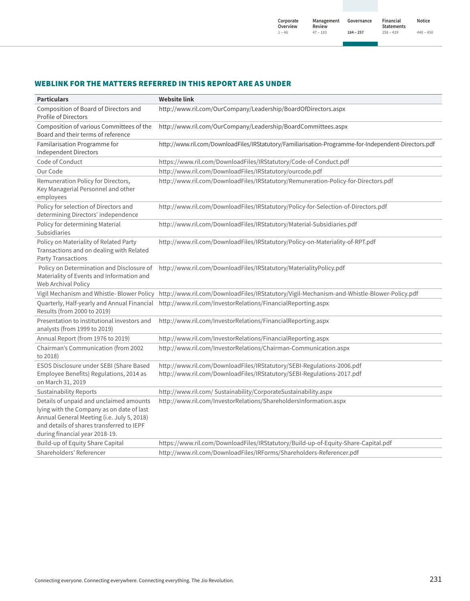# WEBLINK FOR THE MATTERS REFERRED IN THIS REPORT ARE AS UNDER

| <b>Particulars</b>                                                                                                                                                                                                | <b>Website link</b>                                                                                                                              |
|-------------------------------------------------------------------------------------------------------------------------------------------------------------------------------------------------------------------|--------------------------------------------------------------------------------------------------------------------------------------------------|
| Composition of Board of Directors and<br><b>Profile of Directors</b>                                                                                                                                              | http://www.ril.com/OurCompany/Leadership/BoardOfDirectors.aspx                                                                                   |
| Composition of various Committees of the<br>Board and their terms of reference                                                                                                                                    | http://www.ril.com/OurCompany/Leadership/BoardCommittees.aspx                                                                                    |
| Familarisation Programme for<br><b>Independent Directors</b>                                                                                                                                                      | http://www.ril.com/DownloadFiles/IRStatutory/Familiarisation-Programme-for-Independent-Directors.pdf                                             |
| Code of Conduct                                                                                                                                                                                                   | https://www.ril.com/DownloadFiles/IRStatutory/Code-of-Conduct.pdf                                                                                |
| Our Code                                                                                                                                                                                                          | http://www.ril.com/DownloadFiles/IRStatutory/ourcode.pdf                                                                                         |
| Remuneration Policy for Directors,<br>Key Managerial Personnel and other<br>employees                                                                                                                             | http://www.ril.com/DownloadFiles/IRStatutory/Remuneration-Policy-for-Directors.pdf                                                               |
| Policy for selection of Directors and<br>determining Directors' independence                                                                                                                                      | http://www.ril.com/DownloadFiles/IRStatutory/Policy-for-Selection-of-Directors.pdf                                                               |
| Policy for determining Material<br>Subsidiaries                                                                                                                                                                   | http://www.ril.com/DownloadFiles/IRStatutory/Material-Subsidiaries.pdf                                                                           |
| Policy on Materiality of Related Party<br>Transactions and on dealing with Related<br>Party Transactions                                                                                                          | http://www.ril.com/DownloadFiles/IRStatutory/Policy-on-Materiality-of-RPT.pdf                                                                    |
| Policy on Determination and Disclosure of<br>Materiality of Events and Information and<br>Web Archival Policy                                                                                                     | http://www.ril.com/DownloadFiles/IRStatutory/MaterialityPolicy.pdf                                                                               |
|                                                                                                                                                                                                                   | Vigil Mechanism and Whistle-Blower Policy http://www.ril.com/DownloadFiles/IRStatutory/Vigil-Mechanism-and-Whistle-Blower-Policy.pdf             |
| Quarterly, Half-yearly and Annual Financial<br>Results (from 2000 to 2019)                                                                                                                                        | http://www.ril.com/InvestorRelations/FinancialReporting.aspx                                                                                     |
| Presentation to institutional investors and<br>analysts (from 1999 to 2019)                                                                                                                                       | http://www.ril.com/InvestorRelations/FinancialReporting.aspx                                                                                     |
| Annual Report (from 1976 to 2019)                                                                                                                                                                                 | http://www.ril.com/InvestorRelations/FinancialReporting.aspx                                                                                     |
| Chairman's Communication (from 2002<br>to 2018)                                                                                                                                                                   | http://www.ril.com/InvestorRelations/Chairman-Communication.aspx                                                                                 |
| ESOS Disclosure under SEBI (Share Based<br>Employee Benefits) Regulations, 2014 as<br>on March 31, 2019                                                                                                           | http://www.ril.com/DownloadFiles/IRStatutory/SEBI-Regulations-2006.pdf<br>http://www.ril.com/DownloadFiles/IRStatutory/SEBI-Regulations-2017.pdf |
| <b>Sustainability Reports</b>                                                                                                                                                                                     | http://www.ril.com/ Sustainability/CorporateSustainability.aspx                                                                                  |
| Details of unpaid and unclaimed amounts<br>lying with the Company as on date of last<br>Annual General Meeting (i.e. July 5, 2018)<br>and details of shares transferred to IEPF<br>during financial year 2018-19. | http://www.ril.com/InvestorRelations/ShareholdersInformation.aspx                                                                                |
| Build-up of Equity Share Capital                                                                                                                                                                                  | https://www.ril.com/DownloadFiles/IRStatutory/Build-up-of-Equity-Share-Capital.pdf                                                               |
| Shareholders' Referencer                                                                                                                                                                                          | http://www.ril.com/DownloadFiles/IRForms/Shareholders-Referencer.pdf                                                                             |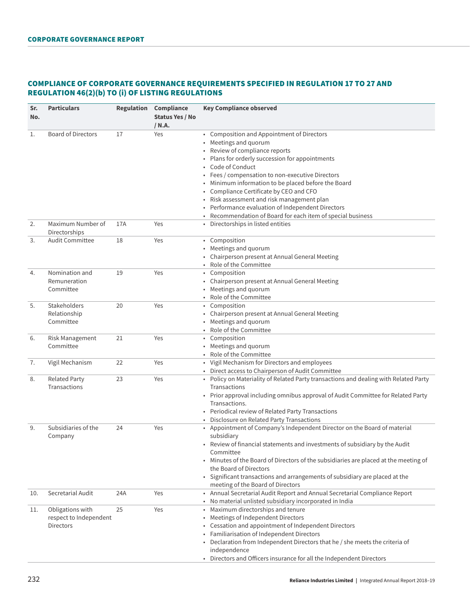# COMPLIANCE OF CORPORATE GOVERNANCE REQUIREMENTS SPECIFIED IN REGULATION 17 TO 27 AND REGULATION 46(2)(b) TO (i) OF LISTING REGULATIONS

| Sr.<br>No. | <b>Particulars</b>                                      |     | <b>Regulation Compliance</b><br><b>Status Yes / No</b> | <b>Key Compliance observed</b>                                                                                                                                                                                                                                                                                                                                                                                                                                                                |  |
|------------|---------------------------------------------------------|-----|--------------------------------------------------------|-----------------------------------------------------------------------------------------------------------------------------------------------------------------------------------------------------------------------------------------------------------------------------------------------------------------------------------------------------------------------------------------------------------------------------------------------------------------------------------------------|--|
|            |                                                         |     | / N.A.                                                 |                                                                                                                                                                                                                                                                                                                                                                                                                                                                                               |  |
| 1.         | <b>Board of Directors</b>                               | 17  | Yes                                                    | • Composition and Appointment of Directors<br>• Meetings and quorum<br>Review of compliance reports<br>• Plans for orderly succession for appointments<br>Code of Conduct<br>Fees / compensation to non-executive Directors<br>• Minimum information to be placed before the Board<br>• Compliance Certificate by CEO and CFO<br>• Risk assessment and risk management plan<br>• Performance evaluation of Independent Directors<br>Recommendation of Board for each item of special business |  |
| 2.         | Maximum Number of<br>Directorships                      | 17A | Yes                                                    | • Directorships in listed entities                                                                                                                                                                                                                                                                                                                                                                                                                                                            |  |
| 3.         | <b>Audit Committee</b>                                  | 18  | Yes                                                    | • Composition<br>• Meetings and quorum<br>• Chairperson present at Annual General Meeting<br>Role of the Committee                                                                                                                                                                                                                                                                                                                                                                            |  |
| 4.         | Nomination and<br>Remuneration<br>Committee             | 19  | Yes                                                    | • Composition<br>• Chairperson present at Annual General Meeting<br>• Meetings and quorum<br>Role of the Committee                                                                                                                                                                                                                                                                                                                                                                            |  |
| 5.         | Stakeholders<br>Relationship<br>Committee               | 20  | Yes                                                    | • Composition<br>• Chairperson present at Annual General Meeting<br>Meetings and quorum<br>Role of the Committee                                                                                                                                                                                                                                                                                                                                                                              |  |
| 6.         | Risk Management<br>Committee                            | 21  | Yes                                                    | • Composition<br>• Meetings and quorum<br>• Role of the Committee                                                                                                                                                                                                                                                                                                                                                                                                                             |  |
| 7.         | Vigil Mechanism                                         | 22  | Yes                                                    | • Vigil Mechanism for Directors and employees<br>• Direct access to Chairperson of Audit Committee                                                                                                                                                                                                                                                                                                                                                                                            |  |
| 8.         | <b>Related Party</b><br>Transactions                    | 23  | Yes                                                    | • Policy on Materiality of Related Party transactions and dealing with Related Party<br>Transactions<br>• Prior approval including omnibus approval of Audit Committee for Related Party<br>Transactions.<br>• Periodical review of Related Party Transactions<br>Disclosure on Related Party Transactions                                                                                                                                                                                    |  |
| 9.         | Subsidiaries of the<br>Company                          | 24  | Yes                                                    | • Appointment of Company's Independent Director on the Board of material<br>subsidiary<br>• Review of financial statements and investments of subsidiary by the Audit<br>Committee<br>Minutes of the Board of Directors of the subsidiaries are placed at the meeting of<br>the Board of Directors<br>• Significant transactions and arrangements of subsidiary are placed at the<br>meeting of the Board of Directors                                                                        |  |
| 10.        | Secretarial Audit                                       | 24A | Yes                                                    | • Annual Secretarial Audit Report and Annual Secretarial Compliance Report<br>• No material unlisted subsidiary incorporated in India                                                                                                                                                                                                                                                                                                                                                         |  |
| 11.        | Obligations with<br>respect to Independent<br>Directors | 25  | Yes                                                    | • Maximum directorships and tenure<br>• Meetings of Independent Directors<br>• Cessation and appointment of Independent Directors<br>• Familiarisation of Independent Directors<br>Declaration from Independent Directors that he / she meets the criteria of<br>independence<br>• Directors and Officers insurance for all the Independent Directors                                                                                                                                         |  |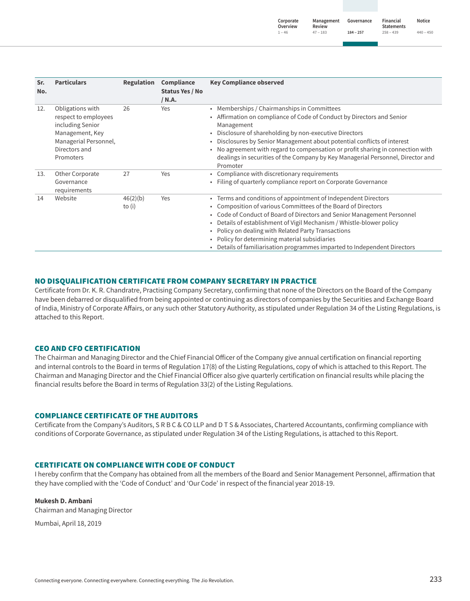| Sr.<br>No. | <b>Particulars</b>                                                                                                                     | Regulation           | Compliance<br>Status Yes / No<br>/ N.A. | <b>Key Compliance observed</b>                                                                                                                                                                                                                                                                                                                                                                                                                                               |
|------------|----------------------------------------------------------------------------------------------------------------------------------------|----------------------|-----------------------------------------|------------------------------------------------------------------------------------------------------------------------------------------------------------------------------------------------------------------------------------------------------------------------------------------------------------------------------------------------------------------------------------------------------------------------------------------------------------------------------|
| 12.        | Obligations with<br>respect to employees<br>including Senior<br>Management, Key<br>Managerial Personnel,<br>Directors and<br>Promoters | 26                   | Yes                                     | Memberships / Chairmanships in Committees<br>$\bullet$<br>Affirmation on compliance of Code of Conduct by Directors and Senior<br>Management<br>Disclosure of shareholding by non-executive Directors<br>Disclosures by Senior Management about potential conflicts of interest<br>٠<br>No agreement with regard to compensation or profit sharing in connection with<br>dealings in securities of the Company by Key Managerial Personnel, Director and<br>Promoter         |
| 13.        | Other Corporate<br>Governance<br>requirements                                                                                          | 27                   | Yes                                     | Compliance with discretionary requirements<br>$\bullet$<br>Filing of quarterly compliance report on Corporate Governance                                                                                                                                                                                                                                                                                                                                                     |
| 14         | Website                                                                                                                                | 46(2)(b)<br>to $(i)$ | Yes                                     | • Terms and conditions of appointment of Independent Directors<br>• Composition of various Committees of the Board of Directors<br>Code of Conduct of Board of Directors and Senior Management Personnel<br>$\bullet$<br>Details of establishment of Vigil Mechanism / Whistle-blower policy<br>Policy on dealing with Related Party Transactions<br>Policy for determining material subsidiaries<br>Details of familiarisation programmes imparted to Independent Directors |

## NO DISQUALIFICATION CERTIFICATE FROM COMPANY SECRETARY IN PRACTICE

Certificate from Dr. K. R. Chandratre, Practising Company Secretary, confirming that none of the Directors on the Board of the Company have been debarred or disqualified from being appointed or continuing as directors of companies by the Securities and Exchange Board of India, Ministry of Corporate Affairs, or any such other Statutory Authority, as stipulated under Regulation 34 of the Listing Regulations, is attached to this Report.

## CEO AND CFO CERTIFICATION

The Chairman and Managing Director and the Chief Financial Officer of the Company give annual certification on financial reporting and internal controls to the Board in terms of Regulation 17(8) of the Listing Regulations, copy of which is attached to this Report. The Chairman and Managing Director and the Chief Financial Officer also give quarterly certification on financial results while placing the financial results before the Board in terms of Regulation 33(2) of the Listing Regulations.

## COMPLIANCE CERTIFICATE OF THE AUDITORS

Certificate from the Company's Auditors, S R B C & CO LLP and D T S & Associates, Chartered Accountants, confirming compliance with conditions of Corporate Governance, as stipulated under Regulation 34 of the Listing Regulations, is attached to this Report.

## CERTIFICATE ON COMPLIANCE WITH CODE OF CONDUCT

I hereby confirm that the Company has obtained from all the members of the Board and Senior Management Personnel, affirmation that they have complied with the 'Code of Conduct' and 'Our Code' in respect of the financial year 2018-19.

#### **Mukesh D. Ambani**

Chairman and Managing Director

Mumbai, April 18, 2019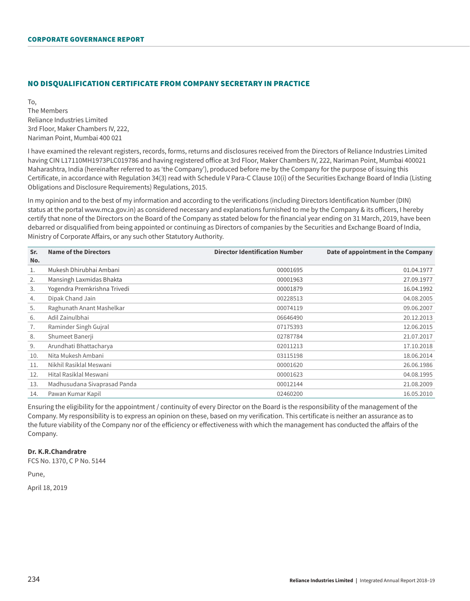## NO DISQUALIFICATION CERTIFICATE FROM COMPANY SECRETARY IN PRACTICE

To, The Members Reliance Industries Limited 3rd Floor, Maker Chambers IV, 222, Nariman Point, Mumbai 400 021

I have examined the relevant registers, records, forms, returns and disclosures received from the Directors of Reliance Industries Limited having CIN L17110MH1973PLC019786 and having registered office at 3rd Floor, Maker Chambers IV, 222, Nariman Point, Mumbai 400021 Maharashtra, India (hereinafter referred to as 'the Company'), produced before me by the Company for the purpose of issuing this Certificate, in accordance with Regulation 34(3) read with Schedule V Para-C Clause 10(i) of the Securities Exchange Board of India (Listing Obligations and Disclosure Requirements) Regulations, 2015.

In my opinion and to the best of my information and according to the verifications (including Directors Identification Number (DIN) status at the portal www.mca.gov.in) as considered necessary and explanations furnished to me by the Company & its officers, I hereby certify that none of the Directors on the Board of the Company as stated below for the financial year ending on 31 March, 2019, have been debarred or disqualified from being appointed or continuing as Directors of companies by the Securities and Exchange Board of India, Ministry of Corporate Affairs, or any such other Statutory Authority.

| Sr. | <b>Name of the Directors</b> | <b>Director Identification Number</b> | Date of appointment in the Company |
|-----|------------------------------|---------------------------------------|------------------------------------|
| No. |                              |                                       |                                    |
| 1.  | Mukesh Dhirubhai Ambani      | 00001695                              | 01.04.1977                         |
| 2.  | Mansingh Laxmidas Bhakta     | 00001963                              | 27.09.1977                         |
| 3.  | Yogendra Premkrishna Trivedi | 00001879                              | 16.04.1992                         |
| 4.  | Dipak Chand Jain             | 00228513                              | 04.08.2005                         |
| 5.  | Raghunath Anant Mashelkar    | 00074119                              | 09.06.2007                         |
| 6.  | Adil Zainulbhai              | 06646490                              | 20.12.2013                         |
| 7.  | Raminder Singh Gujral        | 07175393                              | 12.06.2015                         |
| 8.  | Shumeet Banerji              | 02787784                              | 21.07.2017                         |
| 9.  | Arundhati Bhattacharya       | 02011213                              | 17.10.2018                         |
| 10. | Nita Mukesh Ambani           | 03115198                              | 18.06.2014                         |
| 11. | Nikhil Rasiklal Meswani      | 00001620                              | 26.06.1986                         |
| 12. | Hital Rasiklal Meswani       | 00001623                              | 04.08.1995                         |
| 13. | Madhusudana Sivaprasad Panda | 00012144                              | 21.08.2009                         |
| 14. | Pawan Kumar Kapil            | 02460200                              | 16.05.2010                         |

Ensuring the eligibility for the appointment / continuity of every Director on the Board is the responsibility of the management of the Company. My responsibility is to express an opinion on these, based on my verification. This certificate is neither an assurance as to the future viability of the Company nor of the efficiency or effectiveness with which the management has conducted the affairs of the Company.

## **Dr. K.R.Chandratre**

FCS No. 1370, C P No. 5144

Pune,

April 18, 2019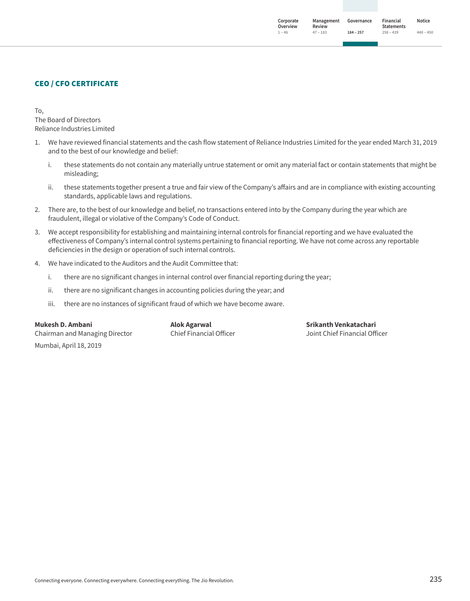**Governance 184 ‒ 257 Corporate Overview 1 ‒ 46 Management Review 47 ‒ 183 Financial Statements 258 ‒ 439 Notice 440 ‒ 450**

## CEO / CFO CERTIFICATE

To, The Board of Directors Reliance Industries Limited

- 1. We have reviewed financial statements and the cash flow statement of Reliance Industries Limited for the year ended March 31, 2019 and to the best of our knowledge and belief:
	- i. these statements do not contain any materially untrue statement or omit any material fact or contain statements that might be misleading;
	- ii. these statements together present a true and fair view of the Company's affairs and are in compliance with existing accounting standards, applicable laws and regulations.
- 2. There are, to the best of our knowledge and belief, no transactions entered into by the Company during the year which are fraudulent, illegal or violative of the Company's Code of Conduct.
- 3. We accept responsibility for establishing and maintaining internal controls for financial reporting and we have evaluated the effectiveness of Company's internal control systems pertaining to financial reporting. We have not come across any reportable deficiencies in the design or operation of such internal controls.
- 4. We have indicated to the Auditors and the Audit Committee that:
	- i. there are no significant changes in internal control over financial reporting during the year;
	- ii. there are no significant changes in accounting policies during the year; and
	- iii. there are no instances of significant fraud of which we have become aware.

**Mukesh D. Ambani** Chairman and Managing Director Mumbai, April 18, 2019

**Alok Agarwal** Chief Financial Officer

**Srikanth Venkatachari** Joint Chief Financial Officer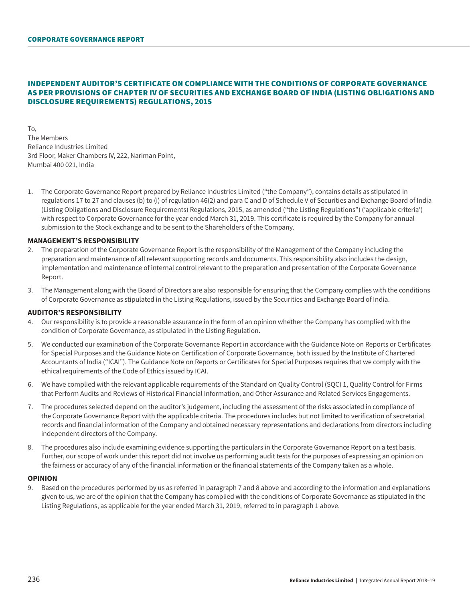## INDEPENDENT AUDITOR'S CERTIFICATE ON COMPLIANCE WITH THE CONDITIONS OF CORPORATE GOVERNANCE AS PER PROVISIONS OF CHAPTER IV OF SECURITIES AND EXCHANGE BOARD OF INDIA (LISTING OBLIGATIONS AND DISCLOSURE REQUIREMENTS) REGULATIONS, 2015

To, The Members Reliance Industries Limited 3rd Floor, Maker Chambers IV, 222, Nariman Point, Mumbai 400 021, India

1. The Corporate Governance Report prepared by Reliance Industries Limited ("the Company"), contains details as stipulated in regulations 17 to 27 and clauses (b) to (i) of regulation 46(2) and para C and D of Schedule V of Securities and Exchange Board of India (Listing Obligations and Disclosure Requirements) Regulations, 2015, as amended ("the Listing Regulations") ('applicable criteria') with respect to Corporate Governance for the year ended March 31, 2019. This certificate is required by the Company for annual submission to the Stock exchange and to be sent to the Shareholders of the Company.

## **MANAGEMENT'S RESPONSIBILITY**

- 2. The preparation of the Corporate Governance Report is the responsibility of the Management of the Company including the preparation and maintenance of all relevant supporting records and documents. This responsibility also includes the design, implementation and maintenance of internal control relevant to the preparation and presentation of the Corporate Governance Report.
- 3. The Management along with the Board of Directors are also responsible for ensuring that the Company complies with the conditions of Corporate Governance as stipulated in the Listing Regulations, issued by the Securities and Exchange Board of India.

#### **AUDITOR'S RESPONSIBILITY**

- 4. Our responsibility is to provide a reasonable assurance in the form of an opinion whether the Company has complied with the condition of Corporate Governance, as stipulated in the Listing Regulation.
- 5. We conducted our examination of the Corporate Governance Report in accordance with the Guidance Note on Reports or Certificates for Special Purposes and the Guidance Note on Certification of Corporate Governance, both issued by the Institute of Chartered Accountants of India ("ICAI"). The Guidance Note on Reports or Certificates for Special Purposes requires that we comply with the ethical requirements of the Code of Ethics issued by ICAI.
- 6. We have complied with the relevant applicable requirements of the Standard on Quality Control (SQC) 1, Quality Control for Firms that Perform Audits and Reviews of Historical Financial Information, and Other Assurance and Related Services Engagements.
- 7. The procedures selected depend on the auditor's judgement, including the assessment of the risks associated in compliance of the Corporate Governance Report with the applicable criteria. The procedures includes but not limited to verification of secretarial records and financial information of the Company and obtained necessary representations and declarations from directors including independent directors of the Company.
- 8. The procedures also include examining evidence supporting the particulars in the Corporate Governance Report on a test basis. Further, our scope of work under this report did not involve us performing audit tests for the purposes of expressing an opinion on the fairness or accuracy of any of the financial information or the financial statements of the Company taken as a whole.

#### **OPINION**

9. Based on the procedures performed by us as referred in paragraph 7 and 8 above and according to the information and explanations given to us, we are of the opinion that the Company has complied with the conditions of Corporate Governance as stipulated in the Listing Regulations, as applicable for the year ended March 31, 2019, referred to in paragraph 1 above.